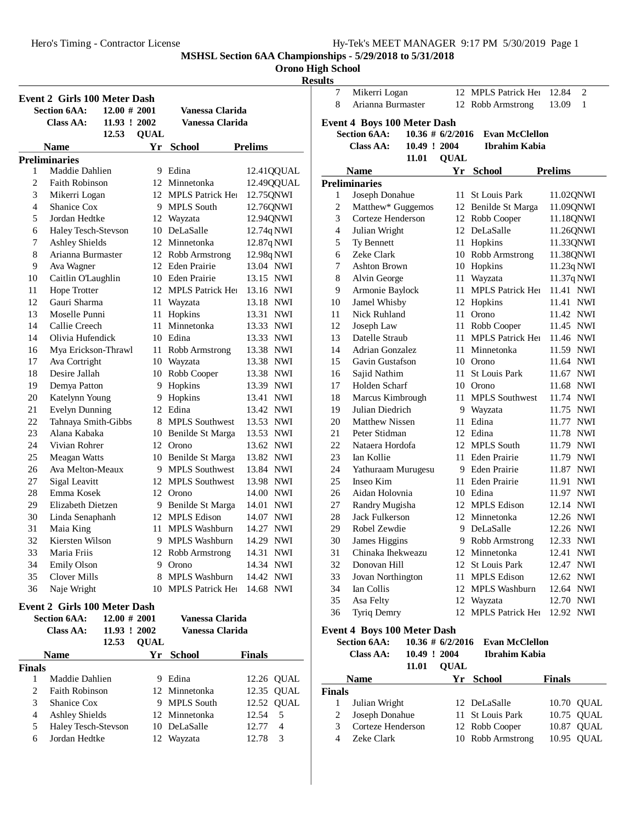### **Orono High School**

#### **Results**

|    | <b>Event 2 Girls 100 Meter Dash</b>                        |                 |             |                         |                     |
|----|------------------------------------------------------------|-----------------|-------------|-------------------------|---------------------|
|    | <b>Section 6AA:</b>                                        | $12.00 \# 2001$ |             | Vanessa Clarida         |                     |
|    | Class AA:                                                  | 11.93 ! 2002    |             | Vanessa Clarida         |                     |
|    |                                                            | 12.53           | <b>QUAL</b> |                         |                     |
|    | Name                                                       |                 | Yr          | <b>School</b>           | <b>Prelims</b>      |
|    | <b>Preliminaries</b>                                       |                 |             |                         |                     |
| 1  | Maddie Dahlien                                             |                 | 9           | Edina                   | 12.41QQUAL          |
| 2  | <b>Faith Robinson</b>                                      |                 |             | 12 Minnetonka           | 12.49QQUAL          |
| 3  | Mikerri Logan                                              |                 |             | 12 MPLS Patrick Her     | 12.75QNWI           |
| 4  | Shanice Cox                                                |                 |             | 9 MPLS South            | 12.76QNWI           |
| 5  | Jordan Hedtke                                              |                 | 12          | Wayzata                 | 12.94QNWI           |
| 6  | Haley Tesch-Stevson                                        |                 |             | 10 DeLaSalle            | 12.74q NWI          |
| 7  | <b>Ashley Shields</b>                                      |                 | 12          | Minnetonka              | 12.87q NWI          |
| 8  | Arianna Burmaster                                          |                 |             | 12 Robb Armstrong       | 12.98q NWI          |
| 9  | Ava Wagner                                                 |                 |             | 12 Eden Prairie         | 13.04 NWI           |
| 10 | Caitlin O'Laughlin                                         |                 |             | 10 Eden Prairie         | 13.15 NWI           |
| 11 | Hope Trotter                                               |                 |             | 12 MPLS Patrick Her     | 13.16 NWI           |
| 12 | Gauri Sharma                                               |                 | 11          | Wayzata                 | 13.18 NWI           |
| 13 | Moselle Punni                                              |                 | 11          | Hopkins                 | 13.31 NWI           |
| 14 | Callie Creech                                              |                 | 11          | Minnetonka              | 13.33 NWI           |
| 14 | Olivia Hufendick                                           |                 |             | 10 Edina                | 13.33 NWI           |
| 16 | Mya Erickson-Thrawl                                        |                 |             | 11 Robb Armstrong       | 13.38 NWI           |
| 17 | Ava Cortright                                              |                 | 10          | Wayzata                 | 13.38 NWI           |
| 18 | Desire Jallah                                              |                 | 10          | Robb Cooper             | 13.38 NWI           |
| 19 | Demya Patton                                               |                 | 9           | Hopkins                 | 13.39 NWI           |
| 20 | Katelynn Young                                             |                 | 9.          | Hopkins                 | 13.41 NWI           |
| 21 | <b>Evelyn Dunning</b>                                      |                 |             | 12 Edina                | 13.42 NWI           |
| 22 | Tahnaya Smith-Gibbs                                        |                 | 8           | <b>MPLS</b> Southwest   | 13.53 NWI           |
| 23 | Alana Kabaka                                               |                 |             | 10 Benilde St Marga     | 13.53 NWI           |
| 24 | Vivian Rohrer                                              |                 |             | 12 Orono                | 13.62 NWI           |
| 25 | <b>Meagan Watts</b>                                        |                 |             | 10 Benilde St Marga     | 13.82 NWI           |
| 26 | Ava Melton-Meaux                                           |                 |             | 9 MPLS Southwest        | 13.84 NWI           |
| 27 | Sigal Leavitt                                              |                 |             | 12 MPLS Southwest       | 13.98 NWI           |
| 28 | Emma Kosek                                                 |                 |             | 12 Orono                | 14.00 NWI           |
| 29 | Elizabeth Dietzen                                          |                 | 9.          | Benilde St Marga        | 14.01 NWI           |
| 30 | Linda Senaphanh                                            |                 | 12          | <b>MPLS</b> Edison      | 14.07 NWI           |
| 31 | Maia King                                                  |                 | 11          | <b>MPLS Washburn</b>    | 14.27<br><b>NWI</b> |
| 32 | Kiersten Wilson                                            |                 | 9           | <b>MPLS Washburn</b>    | 14.29<br><b>NWI</b> |
| 33 | Maria Friis                                                |                 | 12          | Robb Armstrong          | 14.31<br><b>NWI</b> |
| 34 | <b>Emily Olson</b>                                         |                 |             | 9 Orono                 | 14.34 NWI           |
| 35 | <b>Clover Mills</b>                                        |                 | 8.          | <b>MPLS Washburn</b>    | 14.42 NWI           |
| 36 | Naje Wright                                                |                 | 10          | <b>MPLS Patrick Her</b> | 14.68 NWI           |
|    |                                                            |                 |             |                         |                     |
|    | <b>Event 2 Girls 100 Meter Dash</b><br><b>Section 6AA:</b> | $12.00 \# 2001$ |             |                         |                     |
|    |                                                            |                 |             | Vanessa Clarida         |                     |
|    | <b>Class AA:</b>                                           | 11.93 ! 2002    |             | Vanessa Clarida         |                     |

|               | Ciass AA:             | 11.93 : 2002 |             | vanessa Ulariua |               |            |
|---------------|-----------------------|--------------|-------------|-----------------|---------------|------------|
|               |                       | 12.53        | <b>OUAL</b> |                 |               |            |
|               | <b>Name</b>           |              |             | Yr School       | <b>Finals</b> |            |
| <b>Finals</b> |                       |              |             |                 |               |            |
|               | Maddie Dahlien        |              |             | Edina           |               | 12.26 QUAL |
| 2.            | <b>Faith Robinson</b> |              |             | 12 Minnetonka   |               | 12.35 QUAL |
| 3             | Shanice Cox           |              |             | 9 MPLS South    |               | 12.52 OUAL |
| 4             | <b>Ashley Shields</b> |              |             | 12 Minnetonka   | 12.54         | - 5        |
| 5             | Haley Tesch-Stevson   |              |             | 10 DeLaSalle    | 12.77         | 4          |
| 6             | Jordan Hedtke         |              |             | 12 Wayzata      | 12.78         | 3          |

| и 69 |                                    |                     |             |                         |                     |
|------|------------------------------------|---------------------|-------------|-------------------------|---------------------|
| 7    | Mikerri Logan                      |                     | 12          | <b>MPLS Patrick Her</b> | 12.84<br>2          |
| 8    | Arianna Burmaster                  |                     | 12          | Robb Armstrong          | 13.09<br>1          |
|      | <b>Event 4 Boys 100 Meter Dash</b> |                     |             |                         |                     |
|      | <b>Section 6AA:</b>                | $10.36 \# 6/2/2016$ |             | <b>Evan McClellon</b>   |                     |
|      | Class AA:                          | 10.49 ! 2004        |             | <b>Ibrahim Kabia</b>    |                     |
|      |                                    | 11.01               | <b>QUAL</b> |                         |                     |
|      | <b>Name</b>                        |                     | Yr          | <b>School</b>           | <b>Prelims</b>      |
|      | <b>Preliminaries</b>               |                     |             |                         |                     |
| 1    | Joseph Donahue                     |                     | 11          | St Louis Park           | 11.02QNWI           |
| 2    | Matthew* Guggemos                  |                     |             | 12 Benilde St Marga     | 11.09QNWI           |
| 3    | Corteze Henderson                  |                     |             | 12 Robb Cooper          | 11.18QNWI           |
| 4    | Julian Wright                      |                     |             | 12 DeLaSalle            | 11.26QNWI           |
| 5    | Ty Bennett                         |                     | 11          | Hopkins                 | 11.33QNWI           |
| 6    | Zeke Clark                         |                     |             | 10 Robb Armstrong       | 11.38QNWI           |
| 7    | <b>Ashton Brown</b>                |                     | 10          | Hopkins                 | 11.23q NWI          |
| 8    | Alvin George                       |                     | 11          | Wayzata                 | 11.37q NWI          |
| 9    | Armonie Baylock                    |                     | 11          | <b>MPLS Patrick Her</b> | 11.41 NWI           |
| 10   | Jamel Whisby                       |                     | 12          | Hopkins                 | 11.41 NWI           |
| 11   | Nick Ruhland                       |                     |             | 11 Orono                | 11.42 NWI           |
| 12   | Joseph Law                         |                     | 11          | Robb Cooper             | 11.45 NWI           |
| 13   | Datelle Straub                     |                     | 11          | <b>MPLS Patrick Her</b> | 11.46 NWI           |
| 14   | <b>Adrian Gonzalez</b>             |                     | 11          | Minnetonka              | 11.59 NWI           |
| 15   | Gavin Gustafson                    |                     |             | 10 Orono                | 11.64 NWI           |
| 16   | Sajid Nathim                       |                     |             | 11 St Louis Park        | 11.67 NWI           |
| 17   | Holden Scharf                      |                     |             | 10 Orono                | 11.68 NWI           |
| 18   | Marcus Kimbrough                   |                     | 11          | <b>MPLS Southwest</b>   | 11.74 NWI           |
| 19   | Julian Diedrich                    |                     |             | 9 Wayzata               | 11.75 NWI           |
| 20   | <b>Matthew Nissen</b>              |                     | 11          | Edina                   | 11.77 NWI           |
| 21   | Peter Stidman                      |                     |             | 12 Edina                | 11.78 NWI           |
| 22   | Nataera Hordofa                    |                     |             | 12 MPLS South           | 11.79 NWI           |
| 23   | Ian Kollie                         |                     | 11          | Eden Prairie            | 11.79 NWI           |
| 24   | Yathuraam Murugesu                 |                     | 9           | Eden Prairie            | 11.87<br><b>NWI</b> |
| 25   | Inseo Kim                          |                     | 11          | Eden Prairie            | 11.91<br><b>NWI</b> |
| 26   | Aidan Holovnia                     |                     |             | 10 Edina                | 11.97 NWI           |
| 27   | Randry Mugisha                     |                     |             | 12 MPLS Edison          | 12.14 NWI           |
| 28   | Jack Fulkerson                     |                     |             | 12 Minnetonka           | 12.26 NWI           |
| 29   | Robel Zewdie                       |                     |             | 9 DeLaSalle             | 12.26 NWI           |
| 30   | James Higgins                      |                     |             | 9 Robb Armstrong        | 12.33 NWI           |
| 31   | Chinaka Ihekweazu                  |                     |             | 12 Minnetonka           | 12.41<br>NWI        |
| 32   | Donovan Hill                       |                     |             | 12 St Louis Park        | 12.47 NWI           |
| 33   | Jovan Northington                  |                     |             | 11 MPLS Edison          | 12.62 NWI           |
| 34   | Ian Collis                         |                     |             | 12 MPLS Washburn        | 12.64 NWI           |
| 35   | Asa Felty                          |                     | 12          | Wayzata                 | 12.70<br><b>NWI</b> |
| 36   | Tyriq Demry                        |                     | 12          | <b>MPLS Patrick Her</b> | 12.92<br><b>NWI</b> |
|      |                                    |                     |             |                         |                     |

# **Event 4 Boys 100 Meter Dash**

|               | <b>Section 6AA:</b><br>Class AA: | 10.49 ! 2004 | $10.36 \# 6/2/2016$ | <b>Evan McClellon</b><br>Ibrahim Kabia |               |             |
|---------------|----------------------------------|--------------|---------------------|----------------------------------------|---------------|-------------|
|               | <b>Name</b>                      | 11.01        | <b>OUAL</b>         | Yr School                              | <b>Finals</b> |             |
| <b>Finals</b> |                                  |              |                     |                                        |               |             |
|               | Julian Wright                    |              |                     | 12 DeLaSalle                           |               | 10.70 QUAL  |
| 2             | Joseph Donahue                   |              |                     | 11 St Louis Park                       |               | 10.75 OUAL  |
| 3             | Corteze Henderson                |              |                     | 12 Robb Cooper                         | 10.87         | <b>OUAL</b> |
|               | Zeke Clark                       |              |                     | 10 Robb Armstrong                      |               | 10.95 OUAL  |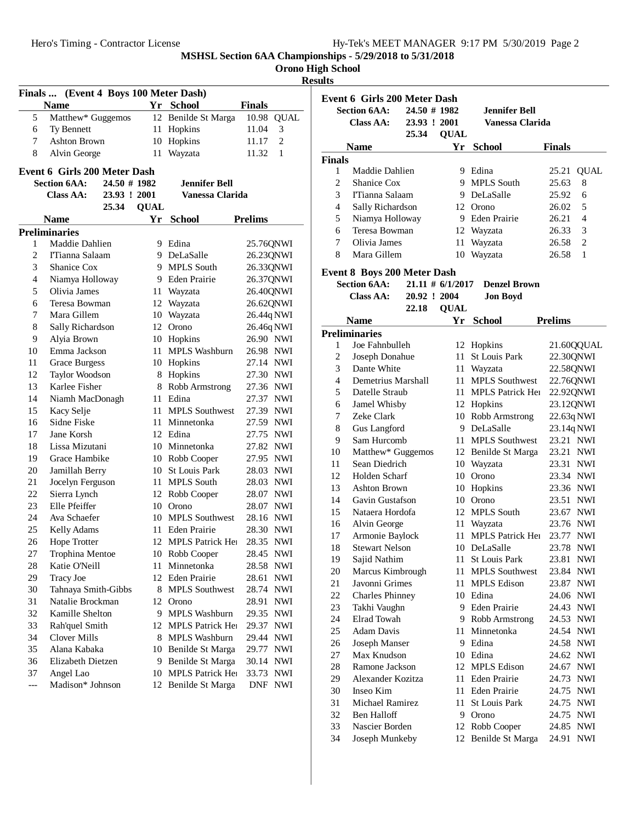|  | <b>Orono High School</b> |
|--|--------------------------|

# **Results**

|                | Finals  (Event 4 Boys 100 Meter Dash) |              |             |                       |                          |
|----------------|---------------------------------------|--------------|-------------|-----------------------|--------------------------|
|                | <b>Name</b>                           |              |             | Yr School             | <b>Finals</b>            |
| 5              | Matthew* Guggemos                     |              |             | 12 Benilde St Marga   | 10.98<br><b>QUAL</b>     |
| 6              | Ty Bennett                            |              |             | 11 Hopkins            | 3<br>11.04               |
| 7              | Ashton Brown                          |              |             | 10 Hopkins            | $\overline{c}$<br>11.17  |
| 8              | Alvin George                          |              | 11          | Wayzata               | 11.32<br>$\mathbf{1}$    |
|                | Event 6 Girls 200 Meter Dash          |              |             |                       |                          |
|                | <b>Section 6AA:</b>                   | 24.50 # 1982 |             | <b>Jennifer Bell</b>  |                          |
|                | <b>Class AA:</b>                      | 23.93 ! 2001 |             | Vanessa Clarida       |                          |
|                |                                       | 25.34        | <b>QUAL</b> |                       |                          |
|                | <b>Name</b>                           |              |             | Yr_School             | <b>Prelims</b>           |
|                | <b>Preliminaries</b>                  |              |             |                       |                          |
| 1              | Maddie Dahlien                        |              |             | 9 Edina               | 25.76QNWI                |
| $\overline{c}$ | ITianna Salaam                        |              |             | 9 DeLaSalle           | 26.23QNWI                |
| 3              | Shanice Cox                           |              |             | 9 MPLS South          | 26.33QNWI                |
| 4              | Niamya Holloway                       |              |             | 9 Eden Prairie        | 26.37QNWI                |
| 5              | Olivia James                          |              |             | 11 Wayzata            | 26.40QNWI                |
| 6              | Teresa Bowman                         |              |             | 12 Wayzata            | 26.62QNWI                |
| 7              | Mara Gillem                           |              |             | 10 Wayzata            | 26.44q NWI               |
| 8              | Sally Richardson                      |              |             | 12 Orono              | 26.46q NWI               |
| 9              | Alyia Brown                           |              |             | 10 Hopkins            | 26.90 NWI                |
| 10             | Emma Jackson                          |              | 11          | <b>MPLS Washburn</b>  | 26.98 NWI                |
| 11             | <b>Grace Burgess</b>                  |              |             | 10 Hopkins            | 27.14 NWI                |
| 12             | Taylor Woodson                        |              | 8           | Hopkins               | 27.30 NWI                |
| 13             | Karlee Fisher                         |              |             | 8 Robb Armstrong      | 27.36 NWI                |
| 14             | Niamh MacDonagh                       |              |             | 11 Edina              | 27.37 NWI                |
| 15             | Kacy Selje                            |              | 11          | <b>MPLS</b> Southwest | 27.39 NWI                |
| 16             | Sidne Fiske                           |              |             | 11 Minnetonka         | 27.59 NWI                |
| 17             | Jane Korsh                            |              |             | 12 Edina              | 27.75 NWI                |
| 18             | Lissa Mizutani                        |              |             | 10 Minnetonka         | 27.82 NWI                |
| 19             | Grace Hambike                         |              |             | 10 Robb Cooper        | 27.95 NWI                |
| 20             | Jamillah Berry                        |              |             | 10 St Louis Park      | 28.03 NWI                |
| 21             | Jocelyn Ferguson                      |              | 11          | <b>MPLS South</b>     | 28.03 NWI                |
| 22             | Sierra Lynch                          |              |             | 12 Robb Cooper        | 28.07 NWI                |
| 23             | Elle Pfeiffer                         |              |             | 10 Orono              | 28.07 NWI                |
| 24             | Ava Schaefer                          |              |             | 10 MPLS Southwest     | 28.16 NWI                |
| 25             | Kelly Adams                           |              | 11          | Eden Prairie          | 28.30 NWI                |
| 26             | Hope Trotter                          |              |             | 12 MPLS Patrick Her   | 28.35 NWI                |
| 27             | Trophina Mentoe                       |              |             | 10 Robb Cooper        | 28.45 NWI                |
| 28             | Katie O'Neill                         |              | 11          | Minnetonka            | 28.58 NWI                |
| 29             | <b>Tracy Joe</b>                      |              |             | 12 Eden Prairie       | 28.61<br>NWI             |
| 30             | Tahnaya Smith-Gibbs                   |              |             | 8 MPLS Southwest      | 28.74<br>NWI             |
| 31             | Natalie Brockman                      |              |             | 12 Orono              | 28.91<br>NWI             |
| 32             | Kamille Shelton                       |              | 9.          | <b>MPLS Washburn</b>  | 29.35<br><b>NWI</b>      |
| 33             | Rah'quel Smith                        |              | 12          | MPLS Patrick Her      | 29.37<br>NWI             |
| 34             | <b>Clover Mills</b>                   |              | 8.          | MPLS Washburn         | 29.44<br>NWI             |
| 35             | Alana Kabaka                          |              |             | 10 Benilde St Marga   | 29.77<br><b>NWI</b>      |
| 36             | Elizabeth Dietzen                     |              | 9.          | Benilde St Marga      | 30.14<br>NWI             |
| 37             | Angel Lao                             |              |             | 10 MPLS Patrick Her   | 33.73<br><b>NWI</b>      |
| ---            | Madison* Johnson                      |              |             | 12 Benilde St Marga   | <b>DNF</b><br><b>NWI</b> |

|                | <b>Event 6 Girls 200 Meter Dash</b> |                     |             |                         |                         |
|----------------|-------------------------------------|---------------------|-------------|-------------------------|-------------------------|
|                | <b>Section 6AA:</b>                 | 24.50 # 1982        |             | <b>Jennifer Bell</b>    |                         |
|                | Class AA:                           | 23.93 ! 2001        |             | Vanessa Clarida         |                         |
|                |                                     | 25.34               | <b>QUAL</b> |                         |                         |
|                | <b>Name</b>                         |                     |             | Yr School               | <b>Finals</b>           |
| <b>Finals</b>  |                                     |                     |             |                         |                         |
| 1              | Maddie Dahlien                      |                     |             | 9 Edina                 | <b>QUAL</b><br>25.21    |
| 2              | Shanice Cox                         |                     |             | 9 MPLS South            | 25.63<br>8              |
| 3              | I'Tianna Salaam                     |                     |             | 9 DeLaSalle             | 25.92<br>6              |
| $\overline{4}$ | Sally Richardson                    |                     |             | 12 Orono                | 26.02<br>5              |
| 5              | Niamya Holloway                     |                     |             | 9 Eden Prairie          | 26.21<br>4              |
| 6              | Teresa Bowman                       |                     |             | 12 Wayzata              | 26.33<br>3              |
| 7              | Olivia James                        |                     | 11          | Wayzata                 | $\overline{2}$<br>26.58 |
| 8              | Mara Gillem                         |                     | 10          | Wayzata                 | 26.58<br>1              |
|                | <b>Event 8 Boys 200 Meter Dash</b>  |                     |             |                         |                         |
|                | <b>Section 6AA:</b>                 | $21.11 \# 6/1/2017$ |             | <b>Denzel Brown</b>     |                         |
|                | <b>Class AA:</b>                    | 20.92 ! 2004        |             | <b>Jon Boyd</b>         |                         |
|                |                                     | 22.18               | <b>QUAL</b> |                         |                         |
|                | <b>Name</b>                         |                     |             | Yr School               | <b>Prelims</b>          |
|                | <b>Preliminaries</b>                |                     |             |                         |                         |
| 1              | Joe Fahnbulleh                      |                     | 12          | Hopkins                 | 21.60QQUAL              |
| 2              | Joseph Donahue                      |                     | 11          | St Louis Park           | 22.30QNWI               |
| 3              | Dante White                         |                     | 11-         | Wayzata                 | 22.58QNWI               |
| 4              | Demetrius Marshall                  |                     | 11          | <b>MPLS Southwest</b>   | 22.76QNWI               |
| 5              | Datelle Straub                      |                     | 11          | <b>MPLS Patrick Her</b> | 22.92QNWI               |
| 6              | Jamel Whisby                        |                     |             | 12 Hopkins              | 23.12QNWI               |
| 7              | Zeke Clark                          |                     | 10          | Robb Armstrong          | 22.63q NWI              |
| 8              | Gus Langford                        |                     |             | 9 DeLaSalle             | 23.14q NWI              |
| 9              | Sam Hurcomb                         |                     | 11          | <b>MPLS Southwest</b>   | 23.21 NWI               |
| 10             | Matthew* Guggemos                   |                     |             | 12 Benilde St Marga     | 23.21 NWI               |
| 11             | Sean Diedrich                       |                     |             | 10 Wayzata              | 23.31 NWI               |
| 12             | Holden Scharf                       |                     | 10          | Orono                   | 23.34 NWI               |
| 13             | <b>Ashton Brown</b>                 |                     | 10          | Hopkins                 | 23.36 NWI               |
| 14             | Gavin Gustafson                     |                     | 10          | Orono                   | 23.51 NWI               |
| 15             | Nataera Hordofa                     |                     | 12          | <b>MPLS South</b>       | 23.67 NWI               |
| 16             | Alvin George                        |                     | 11          | Wayzata                 | 23.76 NWI               |
| 17             | Armonie Baylock                     |                     | 11          | <b>MPLS Patrick Her</b> | 23.77 NWI               |
| 18             | <b>Stewart Nelson</b>               |                     |             | 10 DeLaSalle            | 23.78 NWI               |
| 19             | Sajid Nathim                        |                     |             | 11 St Louis Park        | 23.81 NWI               |
| 20             | Marcus Kimbrough                    |                     | 11-         | <b>MPLS Southwest</b>   | 23.84 NWI               |
| 21             | Javonni Grimes                      |                     | 11          | <b>MPLS Edison</b>      | 23.87 NWI               |
| 22             | <b>Charles Phinney</b>              |                     |             | 10 Edina                | 24.06 NWI               |
| 23             | Takhi Vaughn                        |                     | 9.          | Eden Prairie            | 24.43 NWI               |
| 24             | Elrad Towah                         |                     | 9.          | Robb Armstrong          | 24.53 NWI               |
| 25             | <b>Adam Davis</b>                   |                     | 11          | Minnetonka              | 24.54 NWI               |
| 26             | Joseph Manser                       |                     | 9.          | Edina                   | 24.58 NWI               |
| 27             | Max Knudson                         |                     |             | 10 Edina                | 24.62 NWI               |
| 28             | Ramone Jackson                      |                     | 12          | <b>MPLS Edison</b>      | 24.67 NWI               |
| 29             | Alexander Kozitza                   |                     | 11          | <b>Eden Prairie</b>     | 24.73 NWI               |
| 30             | Inseo Kim                           |                     | 11.         | Eden Prairie            | 24.75 NWI               |
| 31             | Michael Ramirez                     |                     | 11          | <b>St Louis Park</b>    | 24.75 NWI               |
| 32             | Ben Halloff                         |                     |             | 9 Orono                 | 24.75 NWI               |
| 33             | Nascier Borden                      |                     | 12          | Robb Cooper             | 24.85 NWI               |
| 34             | Joseph Munkeby                      |                     | 12          | Benilde St Marga        | 24.91<br><b>NWI</b>     |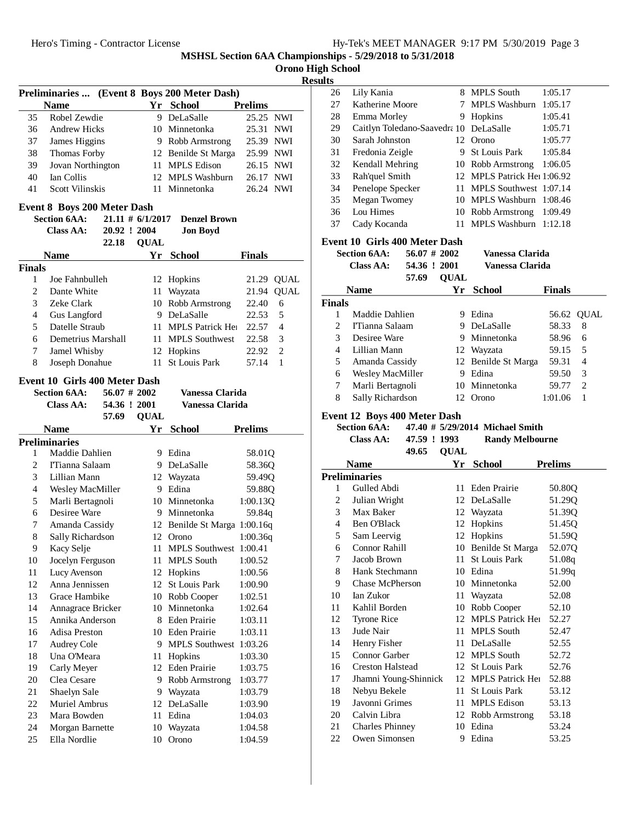|  |  |  | Hy-Tek's MEET MANAGER 9:17 PM 5/30/2019 Page 3 |  |  |  |
|--|--|--|------------------------------------------------|--|--|--|
|--|--|--|------------------------------------------------|--|--|--|

Lily Kania 8 MPLS South 1:05.17 27 Katherine Moore 7 MPLS Washburn 1:05.17 28 Emma Morley 9 Hopkins 1:05.41 29 Caitlyn Toledano-Saavedra 10 DeLaSalle 1:05.71

**MSHSL Section 6AA Championships - 5/29/2018 to 5/31/2018**

| Orono High School |  |  |
|-------------------|--|--|

**Results**<br>26

|               | <b>Preliminaries </b>                |                     |             | (Event 8 Boys 200 Meter Dash) |                |                |
|---------------|--------------------------------------|---------------------|-------------|-------------------------------|----------------|----------------|
|               | <b>Name</b>                          |                     |             | Yr School                     | <b>Prelims</b> |                |
| 35            | Robel Zewdie                         |                     | 9           | DeLaSalle                     | 25.25 NWI      |                |
| 36            | Andrew Hicks                         |                     |             | 10 Minnetonka                 | 25.31 NWI      |                |
| 37            | James Higgins                        |                     |             | 9 Robb Armstrong              | 25.39 NWI      |                |
| 38            | Thomas Forby                         |                     |             | 12 Benilde St Marga           | 25.99 NWI      |                |
| 39            | Jovan Northington                    |                     |             | 11 MPLS Edison                | 26.15 NWI      |                |
| 40            | Ian Collis                           |                     |             | 12 MPLS Washburn              | 26.17          | NWI            |
| 41            | Scott Vilinskis                      |                     |             | 11 Minnetonka                 | 26.24 NWI      |                |
|               | <b>Event 8 Boys 200 Meter Dash</b>   |                     |             |                               |                |                |
|               | <b>Section 6AA:</b>                  | $21.11 \# 6/1/2017$ |             | <b>Denzel Brown</b>           |                |                |
|               | Class AA:                            | 20.92 ! 2004        |             | <b>Jon Boyd</b>               |                |                |
|               |                                      | 22.18               | <b>QUAL</b> |                               |                |                |
|               | <b>Name</b>                          |                     | Yr          | <b>School</b>                 | <b>Finals</b>  |                |
| <b>Finals</b> |                                      |                     |             |                               |                |                |
| 1             | Joe Fahnbulleh                       |                     |             | 12 Hopkins                    | 21.29          | <b>QUAL</b>    |
| 2             | Dante White                          |                     |             | 11 Wayzata                    | 21.94          | <b>QUAL</b>    |
| 3             | Zeke Clark                           |                     |             | 10 Robb Armstrong             | 22.40          | 6              |
| 4             | Gus Langford                         |                     |             | 9 DeLaSalle                   | 22.53          | 5              |
| 5             | Datelle Straub                       |                     |             | 11 MPLS Patrick Her           |                | $\overline{4}$ |
|               |                                      |                     |             |                               | 22.57          |                |
| 6             | Demetrius Marshall                   |                     |             | 11 MPLS Southwest             | 22.58          | 3              |
| 7             | Jamel Whisby                         |                     |             | 12 Hopkins                    | 22.92          | 2              |
| 8             | Joseph Donahue                       |                     | 11          | St Louis Park                 | 57.14          | 1              |
|               | <b>Event 10 Girls 400 Meter Dash</b> |                     |             |                               |                |                |
|               | <b>Section 6AA:</b>                  | $56.07 \# 2002$     |             | Vanessa Clarida               |                |                |
|               | <b>Class AA:</b>                     | 54.36 ! 2001        |             | Vanessa Clarida               |                |                |
|               |                                      | 57.69               | <b>QUAL</b> |                               |                |                |
|               | Name                                 |                     | Yr          | <b>School</b>                 | <b>Prelims</b> |                |
|               | <b>Preliminaries</b>                 |                     |             |                               |                |                |
| 1             | Maddie Dahlien                       |                     |             | 9 Edina                       | 58.01Q         |                |
| 2             | I'Tianna Salaam                      |                     |             | 9 DeLaSalle                   | 58.36Q         |                |
| 3             | Lillian Mann                         |                     |             | 12 Wayzata                    | 59.49Q         |                |
| 4             | Wesley MacMiller                     |                     |             | 9 Edina                       | 59.88Q         |                |
| 5             | Marli Bertagnoli                     |                     |             | 10 Minnetonka                 | 1:00.13Q       |                |
| 6             | Desiree Ware                         |                     |             | 9 Minnetonka                  | 59.84q         |                |
| 7             | Amanda Cassidy                       |                     |             | 12 Benilde St Marga 1:00.16q  |                |                |
| 8             | Sally Richardson                     |                     |             | 12 Orono                      | 1:00.36q       |                |
| 9             | Kacy Selje                           |                     |             | 11 MPLS Southwest 1:00.41     |                |                |
| 10            | Jocelyn Ferguson                     |                     | 11          | <b>MPLS South</b>             | 1:00.52        |                |
| 11            | Lucy Avenson                         |                     |             | 12 Hopkins                    | 1:00.56        |                |
| 12            | Anna Jennissen                       |                     |             | 12 St Louis Park              | 1:00.90        |                |
| 13            | Grace Hambike                        |                     |             | 10 Robb Cooper                | 1:02.51        |                |
| 14            | Annagrace Bricker                    |                     |             | 10 Minnetonka                 | 1:02.64        |                |
| 15            | Annika Anderson                      |                     |             | 8 Eden Prairie                | 1:03.11        |                |
| 16            | Adisa Preston                        |                     |             | 10 Eden Prairie               | 1:03.11        |                |
| 17            | <b>Audrey Cole</b>                   |                     |             | 9 MPLS Southwest              | 1:03.26        |                |
| 18            | Una O'Meara                          |                     | 11 -        | Hopkins                       | 1:03.30        |                |
|               |                                      |                     |             | 12 Eden Prairie               |                |                |
| 19            | Carly Meyer                          |                     |             |                               | 1:03.75        |                |
| 20            | Clea Cesare                          |                     |             | 9 Robb Armstrong              | 1:03.77        |                |
| 21            | Shaelyn Sale                         |                     |             | 9 Wayzata                     | 1:03.79        |                |
| 22            | <b>Muriel Ambrus</b>                 |                     |             | 12 DeLaSalle                  | 1:03.90        |                |
| 23            | Mara Bowden                          |                     |             | 11 Edina                      | 1:04.03        |                |
| 24            | Morgan Barnette                      |                     |             | 10 Wayzata                    | 1:04.58        |                |
| 25            | Ella Nordlie                         |                     | 10          | Orono                         | 1:04.59        |                |

| 30             | Sarah Johnston                                      |                 | 12 Orono                        | 1:05.77                 |
|----------------|-----------------------------------------------------|-----------------|---------------------------------|-------------------------|
| 31             | Fredonia Zeigle                                     |                 | 9 St Louis Park                 | 1:05.84                 |
| 32             | Kendall Mehring                                     |                 | 10 Robb Armstrong               | 1:06.05                 |
| 33             | Rah'quel Smith                                      |                 | 12 MPLS Patrick Hell:06.92      |                         |
| 34             | Penelope Specker                                    |                 | 11 MPLS Southwest 1:07.14       |                         |
| 35             | Megan Twomey                                        |                 | 10 MPLS Washburn                | 1:08.46                 |
| 36             | Lou Himes                                           |                 | 10 Robb Armstrong               | 1:09.49                 |
| 37             | Cady Kocanda                                        | 11              | MPLS Washburn 1:12.18           |                         |
|                |                                                     |                 |                                 |                         |
|                | Event 10 Girls 400 Meter Dash                       |                 |                                 |                         |
|                | <b>Section 6AA:</b>                                 | $56.07 \# 2002$ | Vanessa Clarida                 |                         |
|                | <b>Class AA:</b>                                    | 54.36 ! 2001    | <b>Vanessa Clarida</b>          |                         |
|                | 57.69                                               | <b>QUAL</b>     |                                 |                         |
|                | <b>Name</b>                                         | Yr              | <b>School</b>                   | <b>Finals</b>           |
| <b>Finals</b>  |                                                     |                 |                                 |                         |
| 1              | Maddie Dahlien                                      |                 | 9 Edina                         | 56.62<br>QUAL           |
| 2              | I'Tianna Salaam                                     |                 | 9 DeLaSalle                     | 58.33<br>8              |
| 3              | Desiree Ware                                        |                 | 9 Minnetonka                    | 6<br>58.96              |
| 4              | Lillian Mann                                        |                 | 12 Wayzata                      | 5<br>59.15              |
| 5              | Amanda Cassidy                                      |                 | 12 Benilde St Marga             | $\overline{4}$<br>59.31 |
| 6              | Wesley MacMiller                                    |                 | 9 Edina                         | 3<br>59.50              |
| 7              | Marli Bertagnoli                                    |                 | 10 Minnetonka                   | $\overline{2}$<br>59.77 |
| 8              | Sally Richardson                                    |                 | 12 Orono                        | $\mathbf{1}$<br>1:01.06 |
|                |                                                     |                 |                                 |                         |
|                | Event 12 Boys 400 Meter Dash<br><b>Section 6AA:</b> |                 | 47.40 # 5/29/2014 Michael Smith |                         |
|                |                                                     |                 |                                 |                         |
|                |                                                     |                 |                                 |                         |
|                | Class AA:                                           | 47.59 ! 1993    | <b>Randy Melbourne</b>          |                         |
|                | 49.65                                               | <b>QUAL</b>     |                                 |                         |
|                | <b>Name</b>                                         |                 | Yr School                       | <b>Prelims</b>          |
|                | <b>Preliminaries</b>                                |                 |                                 |                         |
| 1              | Gulled Abdi                                         |                 | 11 Eden Prairie                 | 50.80Q                  |
| 2              | Julian Wright                                       |                 | 12 DeLaSalle                    | 51.29Q                  |
| 3              | Max Baker                                           |                 | 12 Wayzata                      | 51.39Q                  |
| $\overline{4}$ | Ben O'Black                                         |                 | 12 Hopkins                      | 51.45Q                  |
| 5              | Sam Leervig                                         |                 | 12 Hopkins                      | 51.59Q                  |
| 6              | Connor Rahill                                       |                 | 10 Benilde St Marga             | 52.07Q                  |
| 7              | Jacob Brown                                         |                 | 11 St Louis Park                | 51.08q                  |
| 8              | Hank Stechmann                                      |                 | 10 Edina                        | 51.99q                  |
| 9              | <b>Chase McPherson</b>                              |                 | 10 Minnetonka                   | 52.00                   |
| 10             | Ian Zukor                                           | 11              | Wayzata                         | 52.08                   |
| 11             | Kahlil Borden                                       |                 | 10 Robb Cooper                  | 52.10                   |
| 12             | Tyrone Rice                                         |                 | 12 MPLS Patrick Her             | 52.27                   |
| 13             | Jude Nair                                           |                 | 11 MPLS South                   | 52.47                   |
| 14             | Henry Fisher                                        | 11              | DeLaSalle                       | 52.55                   |
| 15             | Connor Garber                                       |                 | 12 MPLS South                   | 52.72                   |
| 16             | <b>Creston Halstead</b>                             |                 | 12 St Louis Park                | 52.76                   |
| 17             | Jhamni Young-Shinnick                               |                 | 12 MPLS Patrick Her             | 52.88                   |
| 18             | Nebyu Bekele                                        | 11              | St Louis Park                   | 53.12                   |
| 19             | Javonni Grimes                                      | 11              | <b>MPLS</b> Edison              | 53.13                   |
| 20             | Calvin Libra                                        |                 | 12 Robb Armstrong               | 53.18                   |
| 21<br>22       | <b>Charles Phinney</b><br>Owen Simonsen             |                 | 10 Edina<br>9 Edina             | 53.24<br>53.25          |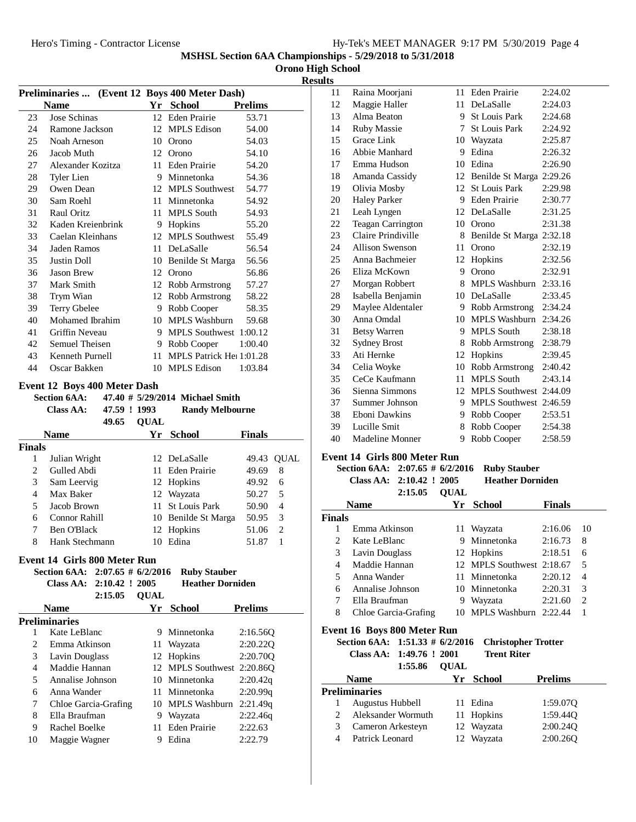| Hy-Tek's MEET MANAGER 9:17 PM 5/30/2019 Page 4 |  |  |  |  |  |  |  |  |
|------------------------------------------------|--|--|--|--|--|--|--|--|
|------------------------------------------------|--|--|--|--|--|--|--|--|

**Orono High School**

**Results**

|                |                                     |                |             |                                               |                    | ĸ              |
|----------------|-------------------------------------|----------------|-------------|-----------------------------------------------|--------------------|----------------|
|                |                                     |                |             | Preliminaries  (Event 12 Boys 400 Meter Dash) |                    |                |
|                | <b>Name</b>                         |                |             | Yr School                                     | <b>Prelims</b>     |                |
| 23             | Jose Schinas                        |                |             | 12 Eden Prairie                               | 53.71              |                |
| 24             | Ramone Jackson                      |                |             | 12 MPLS Edison                                | 54.00              |                |
| 25             | Noah Arneson                        |                |             | 10 Orono                                      | 54.03              |                |
| 26             | Jacob Muth                          |                |             | 12 Orono                                      | 54.10              |                |
| 27             | Alexander Kozitza                   |                |             | 11 Eden Prairie                               | 54.20              |                |
| 28             | Tyler Lien                          |                |             | 9 Minnetonka                                  | 54.36              |                |
| 29             | Owen Dean                           |                |             | 12 MPLS Southwest                             | 54.77              |                |
| 30             | Sam Roehl                           |                |             | 11 Minnetonka                                 | 54.92              |                |
| 31             | Raul Oritz                          |                | 11          | MPLS South                                    | 54.93              |                |
| 32             | Kaden Kreienbrink                   |                |             | 9 Hopkins                                     | 55.20              |                |
| 33             | Caelan Kleinhans                    |                |             | 12 MPLS Southwest                             | 55.49              |                |
| 34             | Jaden Ramos                         |                |             | 11 DeLaSalle                                  | 56.54              |                |
| 35             | Justin Doll                         |                |             | 10 Benilde St Marga                           | 56.56              |                |
| 36             | <b>Jason Brew</b>                   |                |             | 12 Orono                                      | 56.86              |                |
| 37             | Mark Smith                          |                |             | 12 Robb Armstrong                             | 57.27              |                |
| 38             | Trym Wian                           |                |             | 12 Robb Armstrong                             | 58.22              |                |
| 39             | Terry Gbelee                        |                |             | 9 Robb Cooper                                 | 58.35              |                |
| 40             | Mohamed Ibrahim                     |                |             | 10 MPLS Washburn                              | 59.68              |                |
| 41             | Griffin Neveau                      |                |             | 9 MPLS Southwest 1:00.12                      |                    |                |
| 42             | Semuel Theisen                      |                |             | 9 Robb Cooper                                 | 1:00.40            |                |
| 43             | Kenneth Purnell                     |                |             | 11 MPLS Patrick Hel 1:01.28                   |                    |                |
| 44             | Oscar Bakken                        |                |             | 10 MPLS Edison                                | 1:03.84            |                |
|                |                                     |                |             |                                               |                    |                |
|                | <b>Event 12 Boys 400 Meter Dash</b> |                |             |                                               |                    |                |
|                | <b>Section 6AA:</b>                 |                |             | 47.40 # 5/29/2014 Michael Smith               |                    |                |
|                | <b>Class AA:</b>                    | 47.59 ! 1993   |             | <b>Randy Melbourne</b>                        |                    |                |
|                |                                     | 49.65          | <b>QUAL</b> |                                               |                    |                |
|                | <b>Name</b>                         |                | Yr          | <b>School</b>                                 | <b>Finals</b>      |                |
| Finals         |                                     |                |             |                                               |                    |                |
| 1              | Julian Wright                       |                |             | 12 DeLaSalle                                  |                    | 49.43 QUAL     |
| $\overline{c}$ | Gulled Abdi                         |                | 11          | Eden Prairie                                  | 49.69              | 8              |
| 3              | Sam Leervig                         |                |             | 12 Hopkins                                    | 49.92              | 6              |
| 4              | Max Baker                           |                |             | 12 Wayzata                                    | 50.27              | 5              |
| 5              | Jacob Brown                         |                |             | 11 St Louis Park                              | 50.90              | $\overline{4}$ |
| 6              | Connor Rahill                       |                |             |                                               |                    |                |
| 7              |                                     |                |             | 10 Benilde St Marga                           | 50.95              | 3              |
|                | <b>Ben O'Black</b>                  |                | 12          | Hopkins                                       | 51.06              | $\overline{2}$ |
| 8              | Hank Stechmann                      |                |             | 10 Edina                                      | 51.87              | 1              |
|                |                                     |                |             |                                               |                    |                |
|                | Event 14 Girls 800 Meter Run        |                |             |                                               |                    |                |
|                | Section 6AA: 2:07.65 # 6/2/2016     |                |             | <b>Ruby Stauber</b>                           |                    |                |
|                | <b>Class AA:</b>                    | 2:10.42 ! 2005 |             | <b>Heather Dorniden</b>                       |                    |                |
|                |                                     | 2:15.05        | <b>QUAL</b> |                                               |                    |                |
|                | <b>Name</b>                         |                |             | Yr School                                     | <b>Prelims</b>     |                |
|                | <b>Preliminaries</b>                |                |             |                                               |                    |                |
| 1              | Kate LeBlanc                        |                | 9           | Minnetonka                                    | 2:16.56Q           |                |
| $\overline{c}$ | Emma Atkinson                       |                | 11          | Wayzata                                       | 2:20.22Q           |                |
| 3              | Lavin Douglass                      |                | 12          | Hopkins                                       | 2:20.70Q           |                |
| 4              | Maddie Hannan                       |                | 12          | MPLS Southwest 2:20.86Q                       |                    |                |
| 5              | Annalise Johnson                    |                |             | 10 Minnetonka                                 | 2:20.42q           |                |
| 6              | Anna Wander                         |                | 11          | Minnetonka                                    | 2:20.99q           |                |
| 7              | Chloe Garcia-Grafing                |                |             | 10 MPLS Washburn 2:21.49q                     |                    |                |
| 8              | Ella Braufman                       |                | 9           | Wayzata                                       | 2:22.46q           |                |
| 9<br>10        | Rachel Boelke<br>Maggie Wagner      |                | 11          | <b>Eden Prairie</b><br>9 Edina                | 2:22.63<br>2:22.79 |                |

| 11 | Raina Moorjani           | 11 | <b>Eden Prairie</b>      | 2:24.02 |
|----|--------------------------|----|--------------------------|---------|
| 12 | Maggie Haller            | 11 | DeLaSalle                | 2:24.03 |
| 13 | Alma Beaton              |    | 9 St Louis Park          | 2:24.68 |
| 14 | <b>Ruby Massie</b>       | 7  | <b>St Louis Park</b>     | 2:24.92 |
| 15 | Grace Link               | 10 | Wayzata                  | 2:25.87 |
| 16 | Abbie Manhard            | 9  | Edina                    | 2:26.32 |
| 17 | Emma Hudson              | 10 | Edina                    | 2:26.90 |
| 18 | Amanda Cassidy           | 12 | Benilde St Marga 2:29.26 |         |
| 19 | Olivia Mosby             | 12 | <b>St Louis Park</b>     | 2:29.98 |
| 20 | <b>Haley Parker</b>      | 9  | Eden Prairie             | 2:30.77 |
| 21 | Leah Lyngen              | 12 | DeLaSalle                | 2:31.25 |
| 22 | <b>Teagan Carrington</b> | 10 | Orono                    | 2:31.38 |
| 23 | Claire Prindiville       | 8  | Benilde St Marga 2:32.18 |         |
| 24 | Allison Swenson          | 11 | Orono                    | 2:32.19 |
| 25 | Anna Bachmeier           | 12 | Hopkins                  | 2:32.56 |
| 26 | Eliza McKown             | 9  | Orono                    | 2:32.91 |
| 27 | Morgan Robbert           | 8  | <b>MPLS</b> Washburn     | 2:33.16 |
| 28 | Isabella Benjamin        | 10 | DeLaSalle                | 2:33.45 |
| 29 | Maylee Aldentaler        | 9  | Robb Armstrong           | 2:34.24 |
| 30 | Anna Omdal               | 10 | <b>MPLS Washburn</b>     | 2:34.26 |
| 31 | <b>Betsy Warren</b>      | 9  | <b>MPLS South</b>        | 2:38.18 |
| 32 | <b>Sydney Brost</b>      | 8  | Robb Armstrong           | 2:38.79 |
| 33 | Ati Hernke               | 12 | Hopkins                  | 2:39.45 |
| 34 | Celia Woyke              | 10 | Robb Armstrong           | 2:40.42 |
| 35 | CeCe Kaufmann            | 11 | <b>MPLS South</b>        | 2:43.14 |
| 36 | Sienna Simmons           | 12 | <b>MPLS Southwest</b>    | 2:44.09 |
| 37 | Summer Johnson           | 9  | <b>MPLS Southwest</b>    | 2:46.59 |
| 38 | Eboni Dawkins            | 9  | Robb Cooper              | 2:53.51 |
| 39 | Lucille Smit             | 8  | Robb Cooper              | 2:54.38 |
| 40 | Madeline Monner          | 9  | Robb Cooper              | 2:58.59 |
|    |                          |    |                          |         |

# **Event 14 Girls 800 Meter Run**

## **Section 6AA:** 2:07.65 # 6/2/2016 Ruby Stauber<br>Class AA: 2:10.42 ! 2005 Heather Dorniden **Class AA: 2:10.42 ! 2005**

|               | 2:15.05              | <b>OUAL</b> |                           |               |                             |
|---------------|----------------------|-------------|---------------------------|---------------|-----------------------------|
|               | <b>Name</b>          | Yr.         | School                    | <b>Finals</b> |                             |
| <b>Finals</b> |                      |             |                           |               |                             |
|               | Emma Atkinson        |             | 11 Wayzata                | 2:16.06       | 10                          |
| 2             | Kate LeBlanc         | 9           | Minnetonka                | 2:16.73       | 8                           |
| 3             | Lavin Douglass       |             | 12 Hopkins                | 2:18.51       | 6                           |
| 4             | Maddie Hannan        |             | 12 MPLS Southwest 2:18.67 |               | 5                           |
| 5             | Anna Wander          |             | 11 Minnetonka             | 2:20.12       | $\overline{4}$              |
| 6             | Annalise Johnson     |             | 10 Minnetonka             | 2:20.31       | 3                           |
| 7             | Ella Braufman        | 9           | Wayzata                   | 2:21.60       | $\mathcal{D}_{\mathcal{L}}$ |
| 8             | Chloe Garcia-Grafing | 10          | MPLS Washburn 2:22.44     |               |                             |

# **Event 16 Boys 800 Meter Run**

|                            | Section 6AA: $1:51.33 \# 6/2/2016$ Christopher Trotter |
|----------------------------|--------------------------------------------------------|
| Class AA: $1:49.76$ ! 2001 | <b>Trent Riter</b>                                     |

| 1:55.86                 |                                     |                                                                          |
|-------------------------|-------------------------------------|--------------------------------------------------------------------------|
|                         | Yr                                  | <b>Prelims</b>                                                           |
|                         |                                     |                                                                          |
| <b>Augustus Hubbell</b> |                                     | 1:59.07Q                                                                 |
| Aleksander Wormuth      |                                     | 1:59.44O                                                                 |
| Cameron Arkesteyn       |                                     | 2:00.24Q                                                                 |
| Patrick Leonard         |                                     | 2:00.260                                                                 |
|                         | <b>Name</b><br><b>Preliminaries</b> | <b>OUAL</b><br>School<br>11 Edina<br>11 Hopkins<br>12 Wayzata<br>Wayzata |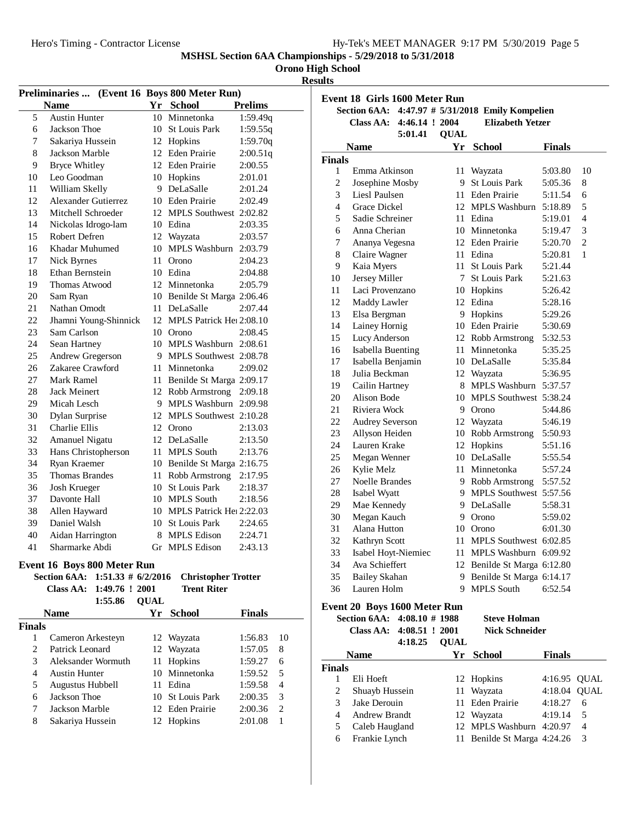## **Orono High School**

**Results**

|        |                                    |                |             | Preliminaries  (Event 16 Boys 800 Meter Run) |                 |  |
|--------|------------------------------------|----------------|-------------|----------------------------------------------|-----------------|--|
|        | <b>Name</b>                        |                |             | Yr School                                    | <b>Prelims</b>  |  |
| 5      | <b>Austin Hunter</b>               |                | 10          | Minnetonka                                   | 1:59.49q        |  |
| 6      | <b>Jackson Thoe</b>                |                | 10-         | <b>St Louis Park</b>                         | 1:59.55q        |  |
| 7      | Sakariya Hussein                   |                |             | 12 Hopkins                                   | 1:59.70q        |  |
| 8      | Jackson Marble                     |                |             | 12 Eden Prairie                              | 2:00.51q        |  |
| 9      | <b>Bryce Whitley</b>               |                |             | 12 Eden Prairie                              | 2:00.55         |  |
| 10     | Leo Goodman                        |                |             | 10 Hopkins                                   | 2:01.01         |  |
| 11     | William Skelly                     |                |             | 9 DeLaSalle                                  | 2:01.24         |  |
| 12     | <b>Alexander Gutierrez</b>         |                |             | 10 Eden Prairie                              | 2:02.49         |  |
| 13     | Mitchell Schroeder                 |                |             | 12 MPLS Southwest 2:02.82                    |                 |  |
| 14     | Nickolas Idrogo-lam                |                |             | 10 Edina                                     | 2:03.35         |  |
| 15     | Robert Defren                      |                |             | 12 Wayzata                                   | 2:03.57         |  |
| 16     | Khadar Muhumed                     |                |             | 10 MPLS Washburn 2:03.79                     |                 |  |
| 17     | Nick Byrnes                        |                | 11          | Orono                                        | 2:04.23         |  |
| 18     | Ethan Bernstein                    |                |             | 10 Edina                                     | 2:04.88         |  |
| 19     | <b>Thomas Atwood</b>               |                |             | 12 Minnetonka                                | 2:05.79         |  |
| 20     | Sam Ryan                           |                |             | 10 Benilde St Marga 2:06.46                  |                 |  |
| 21     | Nathan Omodt                       |                | 11          | DeLaSalle                                    | 2:07.44         |  |
| 22     | Jhamni Young-Shinnick              |                |             | 12 MPLS Patrick Hel 2:08.10                  |                 |  |
| 23     | Sam Carlson                        |                |             | 10 Orono                                     | 2:08.45         |  |
| 24     | Sean Hartney                       |                |             | 10 MPLS Washburn 2:08.61                     |                 |  |
| 25     | Andrew Gregerson                   |                |             | 9 MPLS Southwest 2:08.78                     |                 |  |
| 26     | Zakaree Crawford                   |                | 11 -        | Minnetonka                                   | 2:09.02         |  |
| 27     | Mark Ramel                         |                | 11          | Benilde St Marga 2:09.17                     |                 |  |
| 28     | Jack Meinert                       |                |             | 12 Robb Armstrong                            | 2:09.18         |  |
| 29     | Micah Lesch                        |                | 9.          | MPLS Washburn 2:09.98                        |                 |  |
| 30     | Dylan Surprise                     |                | 12          | MPLS Southwest 2:10.28                       |                 |  |
| 31     | <b>Charlie Ellis</b>               |                | 12          | Orono                                        | 2:13.03         |  |
| 32     | <b>Amanuel Nigatu</b>              |                |             | 12 DeLaSalle                                 | 2:13.50         |  |
| 33     | Hans Christopherson                |                | 11          | <b>MPLS South</b>                            | 2:13.76         |  |
| 34     | Ryan Kraemer                       |                |             | 10 Benilde St Marga 2:16.75                  |                 |  |
| 35     | <b>Thomas Brandes</b>              |                | 11          | Robb Armstrong                               | 2:17.95         |  |
| 36     | Josh Krueger                       |                |             | 10 St Louis Park                             | 2:18.37         |  |
| 37     | Davonte Hall                       |                |             | 10 MPLS South                                | 2:18.56         |  |
| 38     | Allen Hayward                      |                |             | 10 MPLS Patrick Hei 2:22.03                  |                 |  |
| 39     | Daniel Walsh                       |                |             | 10 St Louis Park                             | 2:24.65         |  |
| 40     | Aidan Harrington                   |                | 8.          | <b>MPLS Edison</b>                           | 2:24.71         |  |
| 41     | Sharmarke Abdi                     |                |             | Gr MPLS Edison                               | 2:43.13         |  |
|        | <b>Event 16 Boys 800 Meter Run</b> |                |             |                                              |                 |  |
|        | Section 6AA: 1:51.33 # 6/2/2016    |                |             | <b>Christopher Trotter</b>                   |                 |  |
|        | Class AA:                          | 1:49.76 ! 2001 |             | <b>Trent Riter</b>                           |                 |  |
|        |                                    | 1:55.86        | <b>QUAL</b> |                                              |                 |  |
|        | <b>Name</b>                        |                |             | Yr School                                    | <b>Finals</b>   |  |
| Finals |                                    |                |             |                                              |                 |  |
|        |                                    |                |             |                                              | 02 <sup>1</sup> |  |

|                             | <b>Name</b>          | Yr | School           | <b>Finals</b> |    |  |
|-----------------------------|----------------------|----|------------------|---------------|----|--|
| nals                        |                      |    |                  |               |    |  |
|                             | Cameron Arkesteyn    |    | 12 Wayzata       | 1:56.83       | 10 |  |
| $\mathcal{D}_{\mathcal{L}}$ | Patrick Leonard      |    | 12 Wayzata       | 1:57.05       | 8  |  |
| 3                           | Aleksander Wormuth   |    | 11 Hopkins       | 1:59.27       | 6  |  |
| 4                           | <b>Austin Hunter</b> |    | 10 Minnetonka    | 1:59.52       | 5  |  |
| 5                           | Augustus Hubbell     |    | 11 Edina         | 1:59.58       | 4  |  |
| 6                           | Jackson Thoe         |    | 10 St Louis Park | 2:00.35       | 3  |  |
| 7                           | Jackson Marble       |    | 12 Eden Prairie  | 2:00.36       | 2  |  |
| 8                           | Sakariya Hussein     |    | 12 Hopkins       | 2:01.08       |    |  |
|                             |                      |    |                  |               |    |  |

|                     | Section 6AA: 4:47.97 # 5/31/2018 Emily Kompelien        |             |                                              |                    |                     |
|---------------------|---------------------------------------------------------|-------------|----------------------------------------------|--------------------|---------------------|
|                     | 4:46.14 ! 2004<br>Class AA:                             |             | <b>Elizabeth Yetzer</b>                      |                    |                     |
|                     | 5:01.41                                                 | <b>QUAL</b> |                                              |                    |                     |
|                     | <b>Name</b>                                             |             | Yr School                                    | <b>Finals</b>      |                     |
| Finals              |                                                         |             |                                              |                    |                     |
| 1<br>$\overline{c}$ | Emma Atkinson                                           |             | 11 Wayzata<br>9 St Louis Park                | 5:03.80            | 10                  |
|                     | Josephine Mosby                                         |             | 11 Eden Prairie                              | 5:05.36            | 8                   |
| 3                   | Liesl Paulsen                                           |             |                                              | 5:11.54            | 6                   |
| $\overline{4}$      | <b>Grace Dickel</b>                                     |             | 12 MPLS Washburn                             | 5:18.89            | 5                   |
| 5<br>6              | Sadie Schreiner<br>Anna Cherian                         |             | 11 Edina<br>10 Minnetonka                    | 5:19.01            | $\overline{4}$<br>3 |
| 7                   |                                                         |             | 12 Eden Prairie                              | 5:19.47            | $\overline{c}$      |
|                     | Ananya Vegesna                                          |             |                                              | 5:20.70            | 1                   |
| 8                   | Claire Wagner                                           |             | 11 Edina                                     | 5:20.81            |                     |
| 9                   | Kaia Myers<br>Jersey Miller                             |             | 11 St Louis Park<br>7 St Louis Park          | 5:21.44            |                     |
| 10<br>11            | Laci Provenzano                                         |             |                                              | 5:21.63            |                     |
| 12                  |                                                         |             | 10 Hopkins<br>12 Edina                       | 5:26.42            |                     |
| 13                  | Maddy Lawler<br>Elsa Bergman                            |             | 9 Hopkins                                    | 5:28.16<br>5:29.26 |                     |
| 14                  | Lainey Hornig                                           |             | 10 Eden Prairie                              | 5:30.69            |                     |
| 15                  | Lucy Anderson                                           |             | 12 Robb Armstrong                            | 5:32.53            |                     |
| 16                  | <b>Isabella Buenting</b>                                |             | 11 Minnetonka                                | 5:35.25            |                     |
| 17                  | Isabella Benjamin                                       |             | 10 DeLaSalle                                 | 5:35.84            |                     |
| 18                  | Julia Beckman                                           |             | 12 Wayzata                                   | 5:36.95            |                     |
| 19                  | Cailin Hartney                                          |             | 8 MPLS Washburn 5:37.57                      |                    |                     |
| 20                  | Alison Bode                                             |             | 10 MPLS Southwest 5:38.24                    |                    |                     |
| 21                  | Riviera Wock                                            |             | 9 Orono                                      | 5:44.86            |                     |
| 22                  | <b>Audrey Severson</b>                                  |             | 12 Wayzata                                   | 5:46.19            |                     |
| 23                  | Allyson Heiden                                          |             | 10 Robb Armstrong                            | 5:50.93            |                     |
| 24                  | Lauren Krake                                            |             | 12 Hopkins                                   | 5:51.16            |                     |
| 25                  | Megan Wenner                                            |             | 10 DeLaSalle                                 | 5:55.54            |                     |
| 26                  | Kylie Melz                                              |             | 11 Minnetonka                                | 5:57.24            |                     |
| 27                  | Noelle Brandes                                          |             | 9 Robb Armstrong                             | 5:57.52            |                     |
| 28                  | Isabel Wyatt                                            |             | 9 MPLS Southwest 5:57.56                     |                    |                     |
| 29                  | Mae Kennedy                                             |             | 9 DeLaSalle                                  | 5:58.31            |                     |
| 30                  | Megan Kauch                                             |             | 9 Orono                                      | 5:59.02            |                     |
| 31                  | Alana Hutton                                            |             | 10 Orono                                     | 6:01.30            |                     |
| 32                  | Kathryn Scott                                           |             | 11 MPLS Southwest 6:02.85                    |                    |                     |
| 33                  | Isabel Hoyt-Niemiec                                     |             | 11 MPLS Washburn 6:09.92                     |                    |                     |
| 34                  | Ava Schieffert                                          |             | 12 Benilde St Marga 6:12.80                  |                    |                     |
| 35                  | <b>Bailey Skahan</b>                                    |             | 9 Benilde St Marga 6:14.17                   |                    |                     |
| 36                  | Lauren Holm                                             |             | 9 MPLS South                                 | 6:52.54            |                     |
|                     |                                                         |             |                                              |                    |                     |
|                     | Event 20 Boys 1600 Meter Run                            |             |                                              |                    |                     |
|                     | Section 6AA: 4:08.10 # 1988<br>Class AA: 4:08.51 ! 2001 |             | <b>Steve Holman</b><br><b>Nick Schneider</b> |                    |                     |

|               | 4:18.25              | <b>OUAL</b> |                             |               |   |
|---------------|----------------------|-------------|-----------------------------|---------------|---|
|               | <b>Name</b>          |             | Yr School                   | <b>Finals</b> |   |
| <b>Finals</b> |                      |             |                             |               |   |
|               | Eli Hoeft            |             | 12 Hopkins                  | 4:16.95 OUAL  |   |
| 2             | Shuayb Hussein       |             | 11 Wayzata                  | 4:18.04 OUAL  |   |
| 3             | Jake Derouin         |             | 11 Eden Prairie             | 4:18.27       | 6 |
| 4             | <b>Andrew Brandt</b> |             | 12 Wayzata                  | 4:19.14       | 5 |
| 5             | Caleb Haugland       |             | 12 MPLS Washburn            | 4:20.97       | 4 |
| 6             | Frankie Lynch        |             | 11 Benilde St Marga 4:24.26 |               | 3 |
|               |                      |             |                             |               |   |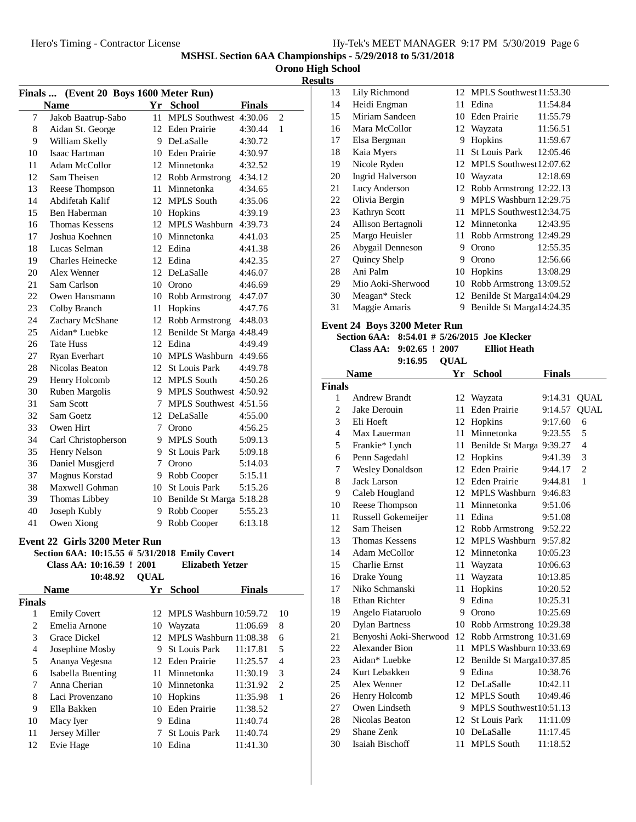| Hy-Tek's MEET MANAGER 9:17 PM 5/30/2019 Page 6 |  |  |  |
|------------------------------------------------|--|--|--|
|------------------------------------------------|--|--|--|

**Orono High School**

**Results**

| Finals  (Event 20 Boys 1600 Meter Run)    |                       |                 |                             |         |                |  |
|-------------------------------------------|-----------------------|-----------------|-----------------------------|---------|----------------|--|
| Yr School<br><b>Name</b><br><b>Finals</b> |                       |                 |                             |         |                |  |
| 7                                         | Jakob Baatrup-Sabo    | 11              | MPLS Southwest 4:30.06      |         | $\mathfrak{2}$ |  |
| 8                                         | Aidan St. George      |                 | 12 Eden Prairie             | 4:30.44 | $\mathbf{1}$   |  |
| 9                                         | William Skelly        |                 | 9 DeLaSalle                 | 4:30.72 |                |  |
| 10                                        | Isaac Hartman         |                 | 10 Eden Prairie             | 4:30.97 |                |  |
| 11                                        | Adam McCollor         |                 | 12 Minnetonka               | 4:32.52 |                |  |
| 12                                        | Sam Theisen           |                 | 12 Robb Armstrong           | 4:34.12 |                |  |
| 13                                        | Reese Thompson        |                 | 11 Minnetonka               | 4:34.65 |                |  |
| 14                                        | Abdifetah Kalif       |                 | 12 MPLS South               | 4:35.06 |                |  |
| 15                                        | Ben Haberman          |                 | 10 Hopkins                  | 4:39.19 |                |  |
| 16                                        | <b>Thomas Kessens</b> |                 | 12 MPLS Washburn            | 4:39.73 |                |  |
| 17                                        | Joshua Koehnen        |                 | 10 Minnetonka               | 4:41.03 |                |  |
| 18                                        | Lucas Selman          |                 | 12 Edina                    | 4:41.38 |                |  |
| 19                                        | Charles Heinecke      |                 | 12 Edina                    | 4:42.35 |                |  |
| 20                                        | Alex Wenner           |                 | 12 DeLaSalle                | 4:46.07 |                |  |
| 21                                        | Sam Carlson           |                 | 10 Orono                    | 4:46.69 |                |  |
| 22                                        | Owen Hansmann         |                 | 10 Robb Armstrong           | 4:47.07 |                |  |
| 23                                        | Colby Branch          | 11              | Hopkins                     | 4:47.76 |                |  |
| 24                                        | Zachary McShane       |                 | 12 Robb Armstrong           | 4:48.03 |                |  |
| 25                                        | Aidan* Luebke         |                 | 12 Benilde St Marga 4:48.49 |         |                |  |
| 26                                        | <b>Tate Huss</b>      |                 | 12 Edina                    | 4:49.49 |                |  |
| 27                                        | Ryan Everhart         |                 | 10 MPLS Washburn            | 4:49.66 |                |  |
| 28                                        | Nicolas Beaton        |                 | 12 St Louis Park            | 4:49.78 |                |  |
| 29                                        | Henry Holcomb         |                 | 12 MPLS South               | 4:50.26 |                |  |
| 30                                        | Ruben Margolis        |                 | 9 MPLS Southwest 4:50.92    |         |                |  |
| 31                                        | Sam Scott             | $7\phantom{.0}$ | MPLS Southwest 4:51.56      |         |                |  |
| 32                                        | Sam Goetz             |                 | 12 DeLaSalle                | 4:55.00 |                |  |
| 33                                        | Owen Hirt             |                 | 7 Orono                     | 4:56.25 |                |  |
| 34                                        | Carl Christopherson   |                 | 9 MPLS South                | 5:09.13 |                |  |
| 35                                        | Henry Nelson          |                 | 9 St Louis Park             | 5:09.18 |                |  |
| 36                                        | Daniel Musgjerd       |                 | 7 Orono                     | 5:14.03 |                |  |
| 37                                        | Magnus Korstad        |                 | 9 Robb Cooper               | 5:15.11 |                |  |
| 38                                        | Maxwell Gohman        |                 | 10 St Louis Park            | 5:15.26 |                |  |
| 39                                        | Thomas Libbey         |                 | 10 Benilde St Marga 5:18.28 |         |                |  |
| 40                                        | Joseph Kubly          |                 | 9 Robb Cooper               | 5:55.23 |                |  |
| 41                                        | Owen Xiong            | 9               | Robb Cooper                 | 6:13.18 |                |  |
|                                           |                       |                 |                             |         |                |  |

## **Event 22 Girls 3200 Meter Run**

#### **Section 6AA: 10:15.55 # 5/31/2018 Emily Covert**<br>Class AA: 10:16.59 + 2001 **Elizobath Vat Class AA: 10:16.59 ! Elizabeth Yetzer2001**

|               | Class AA: 10:16.59 ! 2001 |             | Elizabeth Yetzer          |               |    |
|---------------|---------------------------|-------------|---------------------------|---------------|----|
|               | 10:48.92                  | <b>OUAL</b> |                           |               |    |
|               | <b>Name</b>               | Yr          | <b>School</b>             | <b>Finals</b> |    |
| <b>Finals</b> |                           |             |                           |               |    |
| 1             | <b>Emily Covert</b>       |             | 12 MPLS Washburn 10:59.72 |               | 10 |
| 2             | Emelia Arnone             | 10          | Wayzata                   | 11:06.69      | 8  |
| 3             | Grace Dickel              |             | 12 MPLS Washburn 11:08.38 |               | 6  |
| 4             | Josephine Mosby           | 9           | <b>St Louis Park</b>      | 11:17.81      | 5  |
| 5             | Ananya Vegesna            |             | 12 Eden Prairie           | 11:25.57      | 4  |
| 6             | Isabella Buenting         | 11          | Minnetonka                | 11:30.19      | 3  |
| 7             | Anna Cherian              |             | 10 Minnetonka             | 11:31.92      | 2  |
| 8             | Laci Provenzano           | 10          | Hopkins                   | 11:35.98      | 1  |
| 9             | Ella Bakken               | 10          | Eden Prairie              | 11:38.52      |    |
| 10            | Macy Iyer                 | 9           | Edina                     | 11:40.74      |    |
| 11            | Jersey Miller             |             | <b>St Louis Park</b>      | 11:40.74      |    |
| 12            | Evie Hage                 | 10          | Edina                     | 11:41.30      |    |
|               |                           |             |                           |               |    |

| 13 | Lily Richmond           |    | 12 MPLS Southwest 11:53.30 |          |
|----|-------------------------|----|----------------------------|----------|
| 14 | Heidi Engman            | 11 | Edina                      | 11:54.84 |
| 15 | Miriam Sandeen          | 10 | Eden Prairie               | 11:55.79 |
| 16 | Mara McCollor           |    | 12 Wayzata                 | 11:56.51 |
| 17 | Elsa Bergman            | 9  | Hopkins                    | 11:59.67 |
| 18 | Kaia Myers              | 11 | St Louis Park              | 12:05.46 |
| 19 | Nicole Ryden            | 12 | MPLS Southwest 12:07.62    |          |
| 20 | <b>Ingrid Halverson</b> | 10 | Wayzata                    | 12:18.69 |
| 21 | Lucy Anderson           | 12 | Robb Armstrong 12:22.13    |          |
| 22 | Olivia Bergin           | 9  | MPLS Washburn 12:29.75     |          |
| 23 | Kathryn Scott           | 11 | MPLS Southwest12:34.75     |          |
| 24 | Allison Bertagnoli      | 12 | Minnetonka                 | 12:43.95 |
| 25 | Margo Heuisler          | 11 | Robb Armstrong 12:49.29    |          |
| 26 | Abygail Denneson        | 9  | Orono                      | 12:55.35 |
| 27 | Quincy Shelp            | 9  | Orono                      | 12:56.66 |
| 28 | Ani Palm                | 10 | Hopkins                    | 13:08.29 |
| 29 | Mio Aoki-Sherwood       | 10 | Robb Armstrong 13:09.52    |          |
| 30 | Meagan* Steck           | 12 | Benilde St Marga14:04.29   |          |
| 31 | Maggie Amaris           | 9  | Benilde St Marga14:24.35   |          |

# **Event 24 Boys 3200 Meter Run**

Section 6AA: 8:54.01 # 5/26/2015 Joe Klecker

| Class AA: 9:02.65 ! 2007 |                | <b>Elliot Heath</b> |
|--------------------------|----------------|---------------------|
|                          | $9:16.95$ OUAL |                     |

|                | ,.10. <i>,.</i>         | VUAL |                             |               |                |
|----------------|-------------------------|------|-----------------------------|---------------|----------------|
|                | <b>Name</b>             | Yr   | <b>School</b>               | <b>Finals</b> |                |
| <b>Finals</b>  |                         |      |                             |               |                |
| 1              | <b>Andrew Brandt</b>    | 12   | Wayzata                     | 9:14.31       | <b>QUAL</b>    |
| $\overline{c}$ | Jake Derouin            | 11   | <b>Eden Prairie</b>         | 9:14.57       | <b>QUAL</b>    |
| 3              | Eli Hoeft               | 12   | Hopkins                     | 9:17.60       | 6              |
| $\overline{4}$ | Max Lauerman            | 11   | Minnetonka                  | 9:23.55       | 5              |
| 5              | Frankie* Lynch          | 11   | Benilde St Marga 9:39.27    |               | $\overline{4}$ |
| 6              | Penn Sagedahl           | 12   | Hopkins                     | 9:41.39       | 3              |
| 7              | <b>Wesley Donaldson</b> | 12   | Eden Prairie                | 9:44.17       | $\overline{2}$ |
| 8              | <b>Jack Larson</b>      |      | 12 Eden Prairie             | 9:44.81       | $\mathbf{1}$   |
| 9              | Caleb Hougland          | 12   | <b>MPLS</b> Washburn        | 9:46.83       |                |
| 10             | Reese Thompson          | 11   | Minnetonka                  | 9:51.06       |                |
| 11             | Russell Gokemeijer      | 11   | Edina                       | 9:51.08       |                |
| 12             | Sam Theisen             | 12   | Robb Armstrong              | 9:52.22       |                |
| 13             | <b>Thomas Kessens</b>   | 12   | <b>MPLS Washburn</b>        | 9:57.82       |                |
| 14             | Adam McCollor           |      | 12 Minnetonka               | 10:05.23      |                |
| 15             | <b>Charlie Ernst</b>    | 11   | Wayzata                     | 10:06.63      |                |
| 16             | Drake Young             | 11   | Wayzata                     | 10:13.85      |                |
| 17             | Niko Schmanski          | 11   | Hopkins                     | 10:20.52      |                |
| 18             | <b>Ethan Richter</b>    | 9    | Edina                       | 10:25.31      |                |
| 19             | Angelo Fiataruolo       | 9    | Orono                       | 10:25.69      |                |
| 20             | <b>Dylan Bartness</b>   | 10   | Robb Armstrong 10:29.38     |               |                |
| 21             | Benyoshi Aoki-Sherwood  | 12   | Robb Armstrong 10:31.69     |               |                |
| 22             | Alexander Bion          | 11   | MPLS Washburn 10:33.69      |               |                |
| 23             | Aidan* Luebke           |      | 12 Benilde St Marga10:37.85 |               |                |
| 24             | Kurt Lebakken           | 9    | Edina                       | 10:38.76      |                |
| 25             | Alex Wenner             | 12   | DeLaSalle                   | 10:42.11      |                |
| 26             | Henry Holcomb           | 12   | <b>MPLS South</b>           | 10:49.46      |                |
| 27             | Owen Lindseth           | 9    | MPLS Southwest10:51.13      |               |                |
| 28             | Nicolas Beaton          | 12   | <b>St Louis Park</b>        | 11:11.09      |                |
| 29             | Shane Zenk              | 10   | DeLaSalle                   | 11:17.45      |                |
| 30             | Isaiah Bischoff         | 11   | <b>MPLS South</b>           | 11:18.52      |                |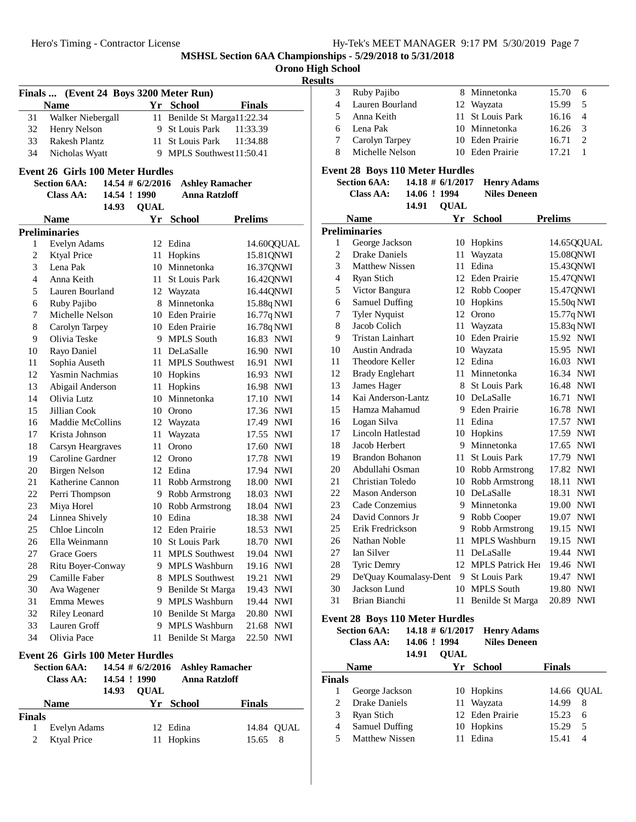|                |                                         |              |                     |                             | MSHSL Section 6AA Championships - 5/ | <b>Orono High School</b><br><b>Results</b> |                |
|----------------|-----------------------------------------|--------------|---------------------|-----------------------------|--------------------------------------|--------------------------------------------|----------------|
|                | Finals  (Event 24 Boys 3200 Meter Run)  |              |                     |                             |                                      | 3                                          | Ru             |
|                | <b>Name</b>                             |              |                     | Yr School                   | <b>Finals</b>                        | $\overline{4}$                             | La             |
| 31             | Walker Niebergall                       |              |                     | 11 Benilde St Marga11:22.34 |                                      | 5                                          | An             |
| 32             | Henry Nelson                            |              |                     | 9 St Louis Park             | 11:33.39                             | 6                                          | Lei            |
| 33             | Rakesh Plantz                           |              |                     | 11 St Louis Park            | 11:34.88                             | 7                                          | Ca             |
| 34             | Nicholas Wyatt                          |              |                     | 9 MPLS Southwest 11:50.41   |                                      | 8                                          | Mi             |
|                |                                         |              |                     |                             |                                      |                                            |                |
|                | <b>Event 26 Girls 100 Meter Hurdles</b> |              |                     |                             |                                      | <b>Event 28</b>                            | <b>Section</b> |
|                | <b>Section 6AA:</b>                     | 14.54 ! 1990 | $14.54 \# 6/2/2016$ | <b>Ashley Ramacher</b>      |                                      |                                            | Cla            |
|                | <b>Class AA:</b>                        | 14.93        |                     | <b>Anna Ratzloff</b>        |                                      |                                            |                |
|                |                                         |              | <b>QUAL</b>         |                             |                                      |                                            | Nan            |
|                | <b>Name</b>                             |              | Yr                  | <b>School</b>               | <b>Prelims</b>                       | Prelimina                                  |                |
|                | <b>Preliminaries</b>                    |              |                     | 12 Edina                    |                                      | 1                                          | Ge             |
| 1              | Evelyn Adams                            |              |                     |                             | 14.60QQUAL                           | $\overline{2}$                             | Dr             |
| 2<br>3         | <b>Ktyal Price</b><br>Lena Pak          |              | 11                  | Hopkins<br>10 Minnetonka    | 15.81QNWI<br>16.37QNWI               | 3                                          | Mε             |
| $\overline{4}$ |                                         |              |                     | 11 St Louis Park            |                                      | $\overline{4}$                             | Ry             |
| 5              | Anna Keith<br>Lauren Bourland           |              |                     | 12 Wayzata                  | 16.42QNWI                            | 5                                          | Vio            |
| 6              |                                         |              |                     | 8 Minnetonka                | 16.44QNWI                            | 6                                          | Sai            |
| $\overline{7}$ | Ruby Pajibo<br>Michelle Nelson          |              |                     | 10 Eden Prairie             | 15.88q NWI                           | 7                                          | Tyl            |
| 8              |                                         |              |                     | 10 Eden Prairie             | 16.77q NWI                           | 8                                          | Jac            |
| 9              | Carolyn Tarpey<br>Olivia Teske          |              |                     | 9 MPLS South                | 16.78q NWI<br>16.83 NWI              | 9                                          | Tri            |
| 10             | Rayo Daniel                             |              |                     | 11 DeLaSalle                | 16.90 NWI                            | 10                                         | Au             |
| 11             | Sophia Auseth                           |              |                     | 11 MPLS Southwest           | 16.91 NWI                            | 11                                         | Th             |
| 12             | Yasmin Nachmias                         |              |                     | 10 Hopkins                  | 16.93 NWI                            | 12                                         | Bra            |
| 13             | Abigail Anderson                        |              | 11                  | Hopkins                     | 16.98 NWI                            | 13                                         | Jar            |
| 14             | Olivia Lutz                             |              |                     | 10 Minnetonka               | 17.10 NWI                            | 14                                         | Ka             |
| 15             | Jillian Cook                            |              |                     | 10 Orono                    | 17.36 NWI                            | 15                                         | Ha             |
| 16             | Maddie McCollins                        |              |                     | 12 Wayzata                  | 17.49 NWI                            | 16                                         | Lo             |
| 17             | Krista Johnson                          |              |                     | 11 Wayzata                  | 17.55 NWI                            | 17                                         | Lir            |
| 18             | Carsyn Heargraves                       |              |                     | 11 Orono                    | 17.60 NWI                            | 18                                         | Jac            |
| 19             | Caroline Gardner                        |              |                     | 12 Orono                    | 17.78 NWI                            | 19                                         | Bra            |
| 20             | <b>Birgen Nelson</b>                    |              |                     | 12 Edina                    | 17.94 NWI                            | 20                                         | Ab             |
| 21             | Katherine Cannon                        |              |                     | 11 Robb Armstrong           | 18.00 NWI                            | 21                                         | Ch             |
| 22             | Perri Thompson                          |              |                     | 9 Robb Armstrong            | 18.03 NWI                            | 22                                         | Mε             |
| 23             | Miya Horel                              |              |                     | 10 Robb Armstrong           | 18.04 NWI                            | 23                                         | Ca             |
| 24             | Linnea Shively                          |              |                     | 10 Edina                    | 18.38 NWI                            | 24                                         | Da             |
| 25             | Chloe Lincoln                           |              |                     | 12 Eden Prairie             | 18.53 NWI                            | 25                                         | Eri            |
| 26             | Ella Weinmann                           |              | 10                  | St Louis Park               | 18.70 NWI                            | 26                                         | Na             |
| 27             | Grace Goers                             |              | 11                  | <b>MPLS Southwest</b>       | 19.04 NWI                            | 27                                         | Ian            |
| 28             | Ritu Boyer-Conway                       |              | 9                   | <b>MPLS Washburn</b>        | 19.16 NWI                            | 28                                         | Tyi            |
| 29             | Camille Faber                           |              |                     | 8 MPLS Southwest            | 19.21 NWI                            | 29                                         | De             |
| 30             | Ava Wagener                             |              | 9                   | Benilde St Marga            | 19.43 NWI                            | 30                                         | Jac            |
| 31             | Emma Mewes                              |              | 9                   | MPLS Washburn               | 19.44 NWI                            | 31                                         | Bri            |
| 32             | <b>Riley Leonard</b>                    |              |                     | 10 Benilde St Marga         | 20.80 NWI                            |                                            |                |
| 33             | Lauren Groff                            |              | 9                   | MPLS Washburn               | 21.68 NWI                            | Event 28                                   | <b>Section</b> |
| 34             | Olivia Pace                             |              | 11                  | Benilde St Marga            | 22.50 NWI                            |                                            | Cla            |
|                |                                         |              |                     |                             |                                      |                                            |                |

#### **Event 26 Girls 100 Meter Hurdles**

|               | <b>Section 6AA:</b><br>Class AA: | 14.54 ! 1990<br>14.93 | <b>OUAL</b> | 14.54 $\#$ 6/2/2016 Ashley Ramacher<br><b>Anna Ratzloff</b> |               |            |
|---------------|----------------------------------|-----------------------|-------------|-------------------------------------------------------------|---------------|------------|
|               | <b>Name</b>                      |                       |             | Yr School                                                   | <b>Finals</b> |            |
| <b>Finals</b> |                                  |                       |             |                                                             |               |            |
|               | Evelyn Adams                     |                       |             | 12 Edina                                                    |               | 14.84 OUAL |
|               | <b>Ktyal Price</b>               |                       |             | 11 Hopkins                                                  | 15.65 8       |            |

| sults |                 |                  |                 |     |  |
|-------|-----------------|------------------|-----------------|-----|--|
| 3     | Ruby Pajibo     | 8 Minnetonka     | 15.70           | - 6 |  |
| 4     | Lauren Bourland | 12 Wayzata       | 15.99           | - 5 |  |
| 5.    | Anna Keith      | 11 St Louis Park | $16.16 \quad 4$ |     |  |
|       | 6 Lena Pak      | 10 Minnetonka    | $16.26 \quad 3$ |     |  |
|       | Carolyn Tarpey  | 10 Eden Prairie  | 16.71           |     |  |
|       | Michelle Nelson | 10 Eden Prairie  | 17.21           |     |  |

# **Event 28 Boys 110 Meter Hurdles**

| <b>Section 6AA:</b> | $14.18 \# 6/1/2017$ | <b>Henry Adams</b>  |
|---------------------|---------------------|---------------------|
| Class AA:           | 14.06 ! 1994        | <b>Niles Deneen</b> |

| .     | .           |  |
|-------|-------------|--|
| 14.91 | <b>OUAL</b> |  |

|                | <b>Name</b>            | Yr | <b>School</b>        | <b>Prelims</b>      |
|----------------|------------------------|----|----------------------|---------------------|
|                | Preliminaries          |    |                      |                     |
| 1              | George Jackson         |    | 10 Hopkins           | 14.65QQUAL          |
| $\overline{2}$ | <b>Drake Daniels</b>   | 11 | Wayzata              | 15.08QNWI           |
| 3              | <b>Matthew Nissen</b>  | 11 | Edina                | 15.43QNWI           |
| $\overline{4}$ | Ryan Stich             | 12 | Eden Prairie         | 15.47QNWI           |
| 5              | Victor Bangura         | 12 | Robb Cooper          | 15.47QNWI           |
| 6              | <b>Samuel Duffing</b>  | 10 | Hopkins              | 15.50q NWI          |
| 7              | <b>Tyler Nyquist</b>   | 12 | Orono                | 15.77q NWI          |
| 8              | Jacob Colich           | 11 | Wayzata              | 15.83q NWI          |
| 9              | Tristan Lainhart       | 10 | Eden Prairie         | 15.92 NWI           |
| 10             | Austin Andrada         | 10 | Wayzata              | 15.95 NWI           |
| 11             | Theodore Keller        | 12 | Edina                | 16.03<br><b>NWI</b> |
| 12             | <b>Brady Englehart</b> | 11 | Minnetonka           | 16.34 NWI           |
| 13             | James Hager            | 8  | <b>St Louis Park</b> | 16.48 NWI           |
| 14             | Kai Anderson-Lantz     | 10 | DeLaSalle            | 16.71<br><b>NWI</b> |
| 15             | Hamza Mahamud          | 9  | <b>Eden Prairie</b>  | 16.78<br><b>NWI</b> |
| 16             | Logan Silva            | 11 | Edina                | 17.57 NWI           |
| 17             | Lincoln Hatlestad      | 10 | Hopkins              | 17.59 NWI           |
| 18             | Jacob Herbert          | 9  | Minnetonka           | <b>NWI</b><br>17.65 |
| 19             | Brandon Bohanon        | 11 | <b>St Louis Park</b> | 17.79<br><b>NWI</b> |
| 20             | Abdullahi Osman        |    | 10 Robb Armstrong    | 17.82<br>NWI        |
| 21             | Christian Toledo       | 10 | Robb Armstrong       | 18.11<br><b>NWI</b> |
| 22             | <b>Mason Anderson</b>  | 10 | DeLaSalle            | 18.31<br><b>NWI</b> |
| 23             | Cade Conzemius         | 9  | Minnetonka           | 19.00 NWI           |
| 24             | David Connors Jr       | 9  | Robb Cooper          | 19.07 NWI           |
| 25             | Erik Fredrickson       | 9  | Robb Armstrong       | 19.15<br><b>NWI</b> |
| 26             | Nathan Noble           | 11 | <b>MPLS Washburn</b> | 19.15<br><b>NWI</b> |
| 27             | <b>Ian Silver</b>      | 11 | DeLaSalle            | 19.44 NWI           |
| 28             | <b>Tyric Demry</b>     |    | 12 MPLS Patrick Her  | 19.46 NWI           |
| 29             | De'Quay Koumalasy-Dent | 9  | <b>St Louis Park</b> | 19.47<br><b>NWI</b> |
| 30             | Jackson Lund           | 10 | <b>MPLS South</b>    | 19.80<br><b>NWI</b> |
| 31             | Brian Bianchi          | 11 | Benilde St Marga     | 20.89<br><b>NWI</b> |

### **Event 28 Boys 110 Meter Hurdles**

|                             | <b>Section 6AA:</b><br>Class AA: | 14.06 ! 1994<br>14.91 | $14.18 \# 6/1/2017$<br><b>OUAL</b> | <b>Henry Adams</b><br><b>Niles Deneen</b> |        |            |
|-----------------------------|----------------------------------|-----------------------|------------------------------------|-------------------------------------------|--------|------------|
|                             | Name                             |                       | Yr                                 | <b>School</b>                             | Finals |            |
| <b>Finals</b>               |                                  |                       |                                    |                                           |        |            |
|                             | George Jackson                   |                       |                                    | 10 Hopkins                                |        | 14.66 OUAL |
| $\mathcal{D}_{\mathcal{A}}$ | Drake Daniels                    |                       |                                    | 11 Wayzata                                | 14.99  | 8          |
| 3                           | Ryan Stich                       |                       |                                    | 12 Eden Prairie                           | 15.23  | 6          |
| 4                           | Samuel Duffing                   |                       |                                    | 10 Hopkins                                | 15.29  | 5          |
| 5                           | <b>Matthew Nissen</b>            |                       |                                    | Edina                                     | 15.41  | 4          |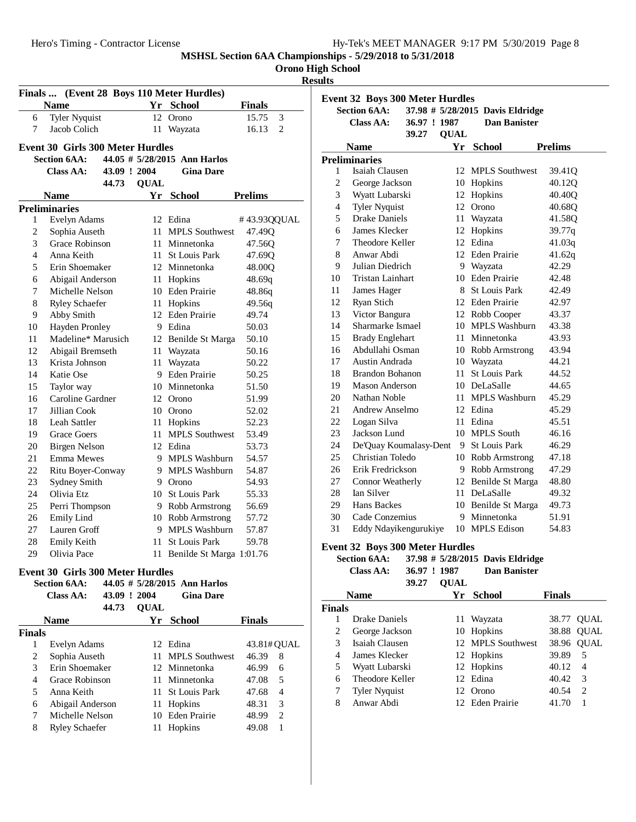**MSHSL Section 6AA Championships - 5/29/2018 to 5/31/2018 Orono High School**

# **Results**

|               |                                         |              |             | Finals  (Event 28 Boys 110 Meter Hurdles) |                |   |
|---------------|-----------------------------------------|--------------|-------------|-------------------------------------------|----------------|---|
|               | <b>Name</b>                             |              |             | Yr School                                 | <b>Finals</b>  |   |
| 6             | <b>Tyler Nyquist</b>                    |              |             | 12 Orono                                  | 15.75          | 3 |
| 7             | Jacob Colich                            |              | 11          | Wayzata                                   | 16.13          | 2 |
|               | <b>Event 30 Girls 300 Meter Hurdles</b> |              |             |                                           |                |   |
|               | <b>Section 6AA:</b>                     |              |             | 44.05 $\#$ 5/28/2015 Ann Harlos           |                |   |
|               | Class AA:                               | 43.09 ! 2004 |             | <b>Gina Dare</b>                          |                |   |
|               |                                         | 44.73        | <b>QUAL</b> |                                           |                |   |
|               | <b>Name</b>                             |              | Yr          | <b>School</b>                             | <b>Prelims</b> |   |
|               | <b>Preliminaries</b>                    |              |             |                                           |                |   |
| 1             | Evelyn Adams                            |              |             | 12 Edina                                  | #43.93QQUAL    |   |
| 2             | Sophia Auseth                           |              |             | 11 MPLS Southwest                         | 47.49Q         |   |
| 3             | Grace Robinson                          |              |             | 11 Minnetonka                             | 47.56Q         |   |
| 4             | Anna Keith                              |              |             | 11 St Louis Park                          | 47.69Q         |   |
| 5             | Erin Shoemaker                          |              |             | 12 Minnetonka                             | 48.00Q         |   |
| 6             | Abigail Anderson                        |              |             | 11 Hopkins                                | 48.69q         |   |
| 7             | Michelle Nelson                         |              |             | 10 Eden Prairie                           | 48.86q         |   |
| 8             | <b>Ryley Schaefer</b>                   |              |             | 11 Hopkins                                | 49.56q         |   |
| 9             | Abby Smith                              |              |             | 12 Eden Prairie                           | 49.74          |   |
| 10            | Hayden Pronley                          |              |             | 9 Edina                                   | 50.03          |   |
| 11            | Madeline* Marusich                      |              |             | 12 Benilde St Marga                       | 50.10          |   |
| 12            | Abigail Bremseth                        |              |             | 11 Wayzata                                | 50.16          |   |
| 13            | Krista Johnson<br>Katie Ose             |              |             | 11 Wayzata<br>9 Eden Prairie              | 50.22          |   |
| 14<br>15      |                                         |              |             | 10 Minnetonka                             | 50.25          |   |
| 16            | Taylor way<br>Caroline Gardner          |              |             | 12 Orono                                  | 51.50<br>51.99 |   |
| 17            | Jillian Cook                            |              |             | 10 Orono                                  | 52.02          |   |
| 18            | Leah Sattler                            |              |             | 11 Hopkins                                | 52.23          |   |
| 19            | Grace Goers                             |              |             | 11 MPLS Southwest                         | 53.49          |   |
| 20            | Birgen Nelson                           |              |             | 12 Edina                                  | 53.73          |   |
| 21            | Emma Mewes                              |              |             | 9 MPLS Washburn                           | 54.57          |   |
| 22            | Ritu Boyer-Conway                       |              |             | 9 MPLS Washburn                           | 54.87          |   |
| 23            | Sydney Smith                            |              |             | 9 Orono                                   | 54.93          |   |
| 24            | Olivia Etz                              |              |             | 10 St Louis Park                          | 55.33          |   |
| 25            | Perri Thompson                          |              |             | 9 Robb Armstrong                          | 56.69          |   |
| 26            | <b>Emily Lind</b>                       |              |             | 10 Robb Armstrong                         | 57.72          |   |
| 27            | Lauren Groff                            |              |             | 9 MPLS Washburn                           | 57.87          |   |
| 28            | Emily Keith                             |              | 11 -        | <b>St Louis Park</b>                      | 59.78          |   |
| 29            | Olivia Pace                             |              |             | 11 Benilde St Marga 1:01.76               |                |   |
|               | <b>Event 30 Girls 300 Meter Hurdles</b> |              |             |                                           |                |   |
|               | <b>Section 6AA:</b>                     |              |             | 44.05 # 5/28/2015 Ann Harlos              |                |   |
|               | <b>Class AA:</b>                        | 43.09 ! 2004 |             | <b>Gina Dare</b>                          |                |   |
|               |                                         | 44.73        | <b>QUAL</b> |                                           |                |   |
|               | <b>Name</b>                             |              | Yr          | <b>School</b>                             | <b>Finals</b>  |   |
| <b>Finals</b> |                                         |              |             |                                           |                |   |
| 1             | Evelyn Adams                            |              |             | 12 Edina                                  | 43.81# QUAL    |   |
| 2             | Sophia Auseth                           |              | 11 -        | <b>MPLS</b> Southwest                     | 46.39          | 8 |

3 Erin Shoemaker 12 Minnetonka 46.99 6 4 Grace Robinson 11 Minnetonka 47.08 5<br>5 Anna Keith 11 St Louis Park 47.68 4

6 Abigail Anderson 11 Hopkins 48.31 3 7 Michelle Nelson 10 Eden Prairie 48.99 2<br>8 Ryley Schaefer 11 Hopkins 49.08 1

5 Anna Keith 11 St Louis Park<br>6 Abigail Anderson 11 Hopkins

8 Ryley Schaefer

|                | <b>Section 6AA:</b>     |                        |             | 37.98 # 5/28/2015 Davis Eldridge |                |
|----------------|-------------------------|------------------------|-------------|----------------------------------|----------------|
|                | Class AA:               | 36.97 ! 1987<br>39.27  | <b>QUAL</b> | <b>Dan Banister</b>              |                |
|                | <b>Name</b>             |                        |             | Yr School                        | <b>Prelims</b> |
|                | <b>Preliminaries</b>    |                        |             |                                  |                |
| 1              | Isaiah Clausen          |                        |             | 12 MPLS Southwest                | 39.41Q         |
| $\overline{c}$ | George Jackson          |                        |             | 10 Hopkins                       | 40.12Q         |
| 3              | Wyatt Lubarski          |                        |             | 12 Hopkins                       | 40.40Q         |
| 4              | <b>Tyler Nyquist</b>    |                        |             | 12 Orono                         | 40.68Q         |
| 5              | <b>Drake Daniels</b>    |                        |             | 11 Wayzata                       | 41.58Q         |
| 6              | James Klecker           |                        |             | 12 Hopkins                       | 39.77q         |
| 7              | Theodore Keller         |                        |             | 12 Edina                         | 41.03q         |
| 8              | Anwar Abdi              |                        |             | 12 Eden Prairie                  | 41.62q         |
| 9              | Julian Diedrich         |                        |             | 9 Wayzata                        | 42.29          |
| 10             | <b>Tristan Lainhart</b> |                        |             | 10 Eden Prairie                  | 42.48          |
| 11             | James Hager             |                        |             | 8 St Louis Park                  | 42.49          |
| 12             | Ryan Stich              |                        |             | 12 Eden Prairie                  | 42.97          |
| 13             | Victor Bangura          |                        |             | 12 Robb Cooper                   | 43.37          |
| 14             | Sharmarke Ismael        |                        |             | 10 MPLS Washburn                 | 43.38          |
| 15             | <b>Brady Englehart</b>  |                        |             | 11 Minnetonka                    | 43.93          |
| 16             | Abdullahi Osman         |                        |             | 10 Robb Armstrong                | 43.94          |
| 17             | Austin Andrada          |                        |             | 10 Wayzata                       | 44.21          |
| 18             | <b>Brandon Bohanon</b>  |                        | 11          | <b>St Louis Park</b>             | 44.52          |
| 19             | Mason Anderson          |                        |             | 10 DeLaSalle                     | 44.65          |
| 20             | Nathan Noble            |                        |             | 11 MPLS Washburn                 | 45.29          |
| 21             | Andrew Anselmo          |                        |             | 12 Edina                         | 45.29          |
| 22             | Logan Silva             |                        |             | 11 Edina                         | 45.51          |
| 23             | Jackson Lund            |                        |             | 10 MPLS South                    | 46.16          |
| 24             |                         | De'Quay Koumalasy-Dent |             | 9 St Louis Park                  | 46.29          |
| 25             | Christian Toledo        |                        |             | 10 Robb Armstrong                | 47.18          |
| 26             | Erik Fredrickson        |                        |             | 9 Robb Armstrong                 | 47.29          |
| 27             | Connor Weatherly        |                        |             | 12 Benilde St Marga              | 48.80          |
| 28             | Ian Silver              |                        |             | 11 DeLaSalle                     | 49.32          |
| 29             | Hans Backes             |                        |             | 10 Benilde St Marga              | 49.73          |
| 30             | Cade Conzemius          |                        | 9           | Minnetonka                       | 51.91          |
| 31             | Eddy Ndayikengurukiye   |                        |             | 10 MPLS Edison                   | 54.83          |

| <b>Section 6AA:</b> |              | 37.98 # 5/28/2015 Davis Eldridge |
|---------------------|--------------|----------------------------------|
| Class AA:           | 36.97 ! 1987 | Dan Banister                     |
|                     | 39.27 OUAL   |                                  |

|               | <b>Name</b>          | Yг | School            | <b>Finals</b> |                             |
|---------------|----------------------|----|-------------------|---------------|-----------------------------|
| <b>Finals</b> |                      |    |                   |               |                             |
|               | Drake Daniels        |    | 11 Wayzata        |               | 38.77 OUAL                  |
| 2             | George Jackson       |    | 10 Hopkins        |               | 38.88 QUAL                  |
| 3             | Isaiah Clausen       |    | 12 MPLS Southwest |               | 38.96 QUAL                  |
| 4             | James Klecker        |    | 12 Hopkins        | 39.89         | 5                           |
| 5             | Wyatt Lubarski       |    | 12 Hopkins        | 40.12         | $\overline{4}$              |
| 6             | Theodore Keller      |    | 12 Edina          | 40.42         | 3                           |
|               | <b>Tyler Nyquist</b> |    | 12 Orono          | 40.54         | $\mathcal{D}_{\mathcal{A}}$ |
| 8             | Anwar Abdi           |    | 12 Eden Prairie   | 41.70         |                             |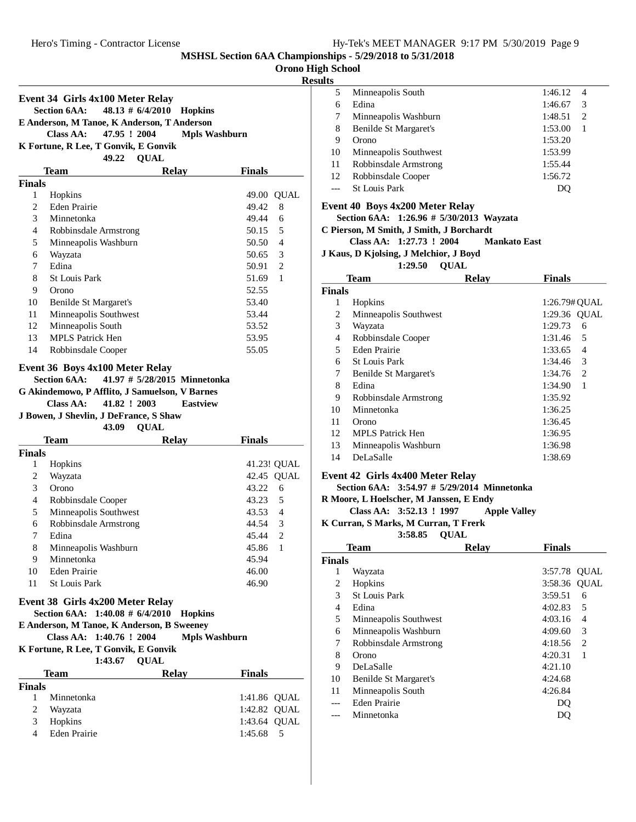# **Orono High School**

## **Results**

|               | Event 34 Girls 4x100 Meter Relay                                                                                               |                                       |                         |
|---------------|--------------------------------------------------------------------------------------------------------------------------------|---------------------------------------|-------------------------|
|               | <b>Section 6AA:</b>                                                                                                            | $48.13 \# 6/4/2010$<br><b>Hopkins</b> |                         |
|               | E Anderson, M Tanoe, K Anderson, T Anderson                                                                                    |                                       |                         |
|               | <b>Class AA:</b><br>47.95 ! 2004                                                                                               | <b>Mpls Washburn</b>                  |                         |
|               | K Fortune, R Lee, T Gonvik, E Gonvik                                                                                           |                                       |                         |
|               |                                                                                                                                | 49.22 QUAL                            |                         |
|               | Team                                                                                                                           | <b>Relay</b>                          | <b>Finals</b>           |
| <b>Finals</b> |                                                                                                                                |                                       |                         |
| 1             | Hopkins                                                                                                                        |                                       | 49.00 QUAL              |
| 2             | <b>Eden Prairie</b>                                                                                                            |                                       | 49.42<br>8              |
| 3             | Minnetonka                                                                                                                     |                                       | 49.44<br>6              |
| 4             | Robbinsdale Armstrong                                                                                                          |                                       | 5<br>50.15              |
| 5             | Minneapolis Washburn                                                                                                           |                                       | $\overline{4}$<br>50.50 |
| 6             | Wayzata                                                                                                                        |                                       | 3<br>50.65              |
| 7             | Edina                                                                                                                          |                                       | 2<br>50.91              |
| 8             | <b>St Louis Park</b>                                                                                                           |                                       | $\mathbf{1}$<br>51.69   |
| 9             | Orono                                                                                                                          |                                       | 52.55                   |
| 10            | Benilde St Margaret's                                                                                                          |                                       | 53.40                   |
| 11            | Minneapolis Southwest                                                                                                          |                                       | 53.44                   |
| 12            | Minneapolis South                                                                                                              |                                       | 53.52                   |
| 13            | <b>MPLS Patrick Hen</b>                                                                                                        |                                       | 53.95                   |
| 14            | Robbinsdale Cooper                                                                                                             |                                       | 55.05                   |
|               | G Akindemowo, P Afflito, J Samuelson, V Barnes<br>Class AA:<br>41.82 ! 2003<br>J Bowen, J Shevlin, J DeFrance, S Shaw<br>43.09 | <b>Eastview</b><br><b>QUAL</b>        |                         |
|               | Team                                                                                                                           | <b>Relay</b>                          | <b>Finals</b>           |
| <b>Finals</b> |                                                                                                                                |                                       |                         |
| 1             | Hopkins                                                                                                                        |                                       | 41.23! QUAL             |
| 2             | Wayzata                                                                                                                        |                                       | 42.45 QUAL              |
| 3             | Orono                                                                                                                          |                                       | 43.22<br>6              |
| 4             | Robbinsdale Cooper                                                                                                             |                                       | 5<br>43.23              |
| 5             | Minneapolis Southwest                                                                                                          |                                       | 43.53<br>$\overline{4}$ |
| 6             | Robbinsdale Armstrong                                                                                                          |                                       | $\overline{3}$<br>44.54 |
| 7             | Edina                                                                                                                          |                                       | 2<br>45.44              |
| 8             | Minneapolis Washburn                                                                                                           |                                       | $\mathbf{1}$<br>45.86   |
| 9             | Minnetonka                                                                                                                     |                                       | 45.94                   |
| 10            | <b>Eden Prairie</b>                                                                                                            |                                       | 46.00                   |
| 11            | <b>St Louis Park</b>                                                                                                           |                                       | 46.90                   |
|               | Event 38 Girls 4x200 Meter Relay<br>Section 6AA: 1:40.08 # 6/4/2010                                                            | <b>Hopkins</b>                        |                         |
|               | E Anderson, M Tanoe, K Anderson, B Sweeney                                                                                     |                                       |                         |
|               | Class AA: 1:40.76 ! 2004                                                                                                       | <b>Mpls Washburn</b>                  |                         |
|               | K Fortune, R Lee, T Gonvik, E Gonvik                                                                                           |                                       |                         |
|               | 1:43.67 QUAL                                                                                                                   |                                       |                         |
|               | Team                                                                                                                           | <b>Relay</b>                          | <b>Finals</b>           |
| <b>Finals</b> |                                                                                                                                |                                       |                         |
| 1             | Minnetonka                                                                                                                     |                                       | 1:41.86 QUAL            |
| 2             | Wayzata                                                                                                                        |                                       | 1:42.82 QUAL            |
| 3             | Hopkins                                                                                                                        |                                       |                         |
|               |                                                                                                                                |                                       | 1:43.64 QUAL            |

| 5  | Minneapolis South     | 1:46.12 | 4 |  |
|----|-----------------------|---------|---|--|
| 6  | Edina                 | 1:46.67 | 3 |  |
| 7  | Minneapolis Washburn  | 1:48.51 | 2 |  |
| 8  | Benilde St Margaret's | 1:53.00 |   |  |
| 9  | Orono                 | 1:53.20 |   |  |
| 10 | Minneapolis Southwest | 1:53.99 |   |  |
| 11 | Robbinsdale Armstrong | 1:55.44 |   |  |
| 12 | Robbinsdale Cooper    | 1:56.72 |   |  |
|    | <b>St Louis Park</b>  |         |   |  |
|    |                       |         |   |  |

#### **Event 40 Boys 4x200 Meter Relay**

Section 6AA: 1:26.96 # 5/30/2013 Wayzata

**C Pierson, M Smith, J Smith, J Borchardt**

#### **Class AA: 1:27.73 ! 2004 Mankato East**

**J Kaus, D Kjolsing, J Melchior, J Boyd**

#### **1:29.50 OUAL**

| <b>Team</b>   |                         | <b>Relav</b> | <b>Finals</b> |
|---------------|-------------------------|--------------|---------------|
| <b>Finals</b> |                         |              |               |
| 1             | Hopkins                 |              | 1:26.79# OUAL |
| 2             | Minneapolis Southwest   |              | 1:29.36 OUAL  |
| 3             | Wayzata                 |              | 1:29.73<br>6  |
| 4             | Robbinsdale Cooper      |              | 1:31.46<br>5  |
| 5             | Eden Prairie            |              | 1:33.65<br>4  |
| 6             | <b>St Louis Park</b>    |              | 3<br>1:34.46  |
| 7             | Benilde St Margaret's   |              | 1:34.76<br>2  |
| 8             | Edina                   |              | 1<br>1:34.90  |
| 9             | Robbinsdale Armstrong   |              | 1:35.92       |
| 10            | Minnetonka              |              | 1:36.25       |
| 11            | Orono                   |              | 1:36.45       |
| 12            | <b>MPLS</b> Patrick Hen |              | 1:36.95       |
| 13            | Minneapolis Washburn    |              | 1:36.98       |
| 14            | DeLaSalle               |              | 1:38.69       |

#### **Event 42 Girls 4x400 Meter Relay**

**Section 6AA:** 3:54.97 # 5/29/2014 Minnetonka

#### **R Moore, L Hoelscher, M Janssen, E Endy**

**Class AA: 3:52.13 ! 1997** • Apple Valley

#### **K Curran, S Marks, M Curran, T Frerk**

**QUAL3:58.85**

|               | Team                  | <b>Relay</b> | <b>Finals</b>  |   |
|---------------|-----------------------|--------------|----------------|---|
| <b>Finals</b> |                       |              |                |   |
| 1             | Wayzata               |              | 3:57.78 OUAL   |   |
| 2             | Hopkins               |              | 3:58.36 OUAL   |   |
| 3             | <b>St Louis Park</b>  |              | 3:59.51        | 6 |
| 4             | Edina                 |              | 4:02.83        | 5 |
| 5             | Minneapolis Southwest |              | 4:03.16        | 4 |
| 6             | Minneapolis Washburn  |              | 4:09.60        | 3 |
| 7             | Robbinsdale Armstrong |              | 4:18.56        | 2 |
| 8             | Orono                 |              | 4:20.31        | 1 |
| 9             | <b>DeLaSalle</b>      |              | 4:21.10        |   |
| 10            | Benilde St Margaret's |              | 4:24.68        |   |
| 11            | Minneapolis South     |              | 4:26.84        |   |
|               | Eden Prairie          |              | D <sub>0</sub> |   |
|               | Minnetonka            |              |                |   |
|               |                       |              |                |   |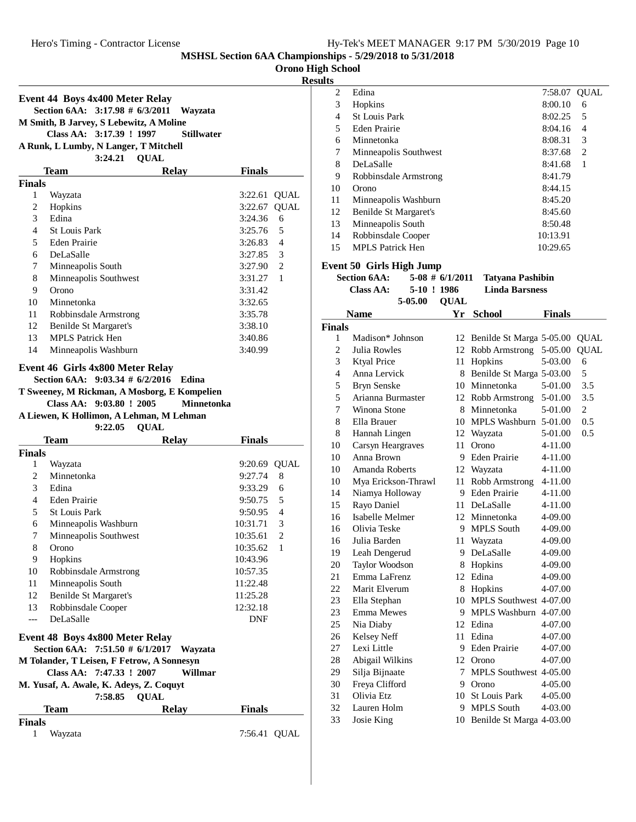**Orono High School**

#### **Results**

|                |                                                                                 |                                                                                  |                    | w              |
|----------------|---------------------------------------------------------------------------------|----------------------------------------------------------------------------------|--------------------|----------------|
|                | Event 44 Boys 4x400 Meter Relay<br>Section 6AA: 3:17.98 # 6/3/2011              | Wayzata                                                                          |                    |                |
|                | M Smith, B Jarvey, S Lebewitz, A Moline                                         |                                                                                  |                    |                |
|                | Class AA: 3:17.39 ! 1997                                                        | <b>Stillwater</b>                                                                |                    |                |
|                | A Runk, L Lumby, N Langer, T Mitchell<br>3:24.21                                | <b>QUAL</b>                                                                      |                    |                |
|                | <b>Team</b>                                                                     | <b>Relay</b>                                                                     | <b>Finals</b>      |                |
| <b>Finals</b>  |                                                                                 |                                                                                  |                    |                |
| 1              | Wayzata                                                                         |                                                                                  | 3:22.61            | <b>QUAL</b>    |
| $\overline{c}$ | Hopkins                                                                         |                                                                                  | 3:22.67            | <b>QUAL</b>    |
| 3              | Edina                                                                           |                                                                                  | 3:24.36            | 6              |
| 4              | <b>St Louis Park</b>                                                            |                                                                                  | 3:25.76            | 5              |
| 5              | Eden Prairie                                                                    |                                                                                  | 3:26.83            | 4              |
| 6              | DeLaSalle                                                                       |                                                                                  | 3:27.85            | 3              |
| 7              | Minneapolis South                                                               |                                                                                  | 3:27.90            | 2              |
| 8              | Minneapolis Southwest                                                           |                                                                                  | 3:31.27            | 1              |
| 9              | Orono                                                                           |                                                                                  | 3:31.42            |                |
| 10             | Minnetonka                                                                      |                                                                                  | 3:32.65            |                |
| 11             | Robbinsdale Armstrong                                                           |                                                                                  | 3:35.78            |                |
| 12             | Benilde St Margaret's                                                           |                                                                                  | 3:38.10            |                |
| 13             | <b>MPLS Patrick Hen</b>                                                         |                                                                                  | 3:40.86            |                |
| 14             | Minneapolis Washburn                                                            |                                                                                  | 3:40.99            |                |
|                | Class AA: 9:03.80 ! 2005<br>A Liewen, K Hollimon, A Lehman, M Lehman<br>9:22.05 | T Sweeney, M Rickman, A Mosborg, E Kompelien<br><b>Minnetonka</b><br><b>QUAL</b> |                    |                |
|                | <b>Team</b>                                                                     | <b>Relay</b>                                                                     | <b>Finals</b>      |                |
| <b>Finals</b>  |                                                                                 |                                                                                  |                    |                |
| 1              | Wayzata                                                                         |                                                                                  | 9:20.69            | <b>QUAL</b>    |
| 2<br>3         | Minnetonka<br>Edina                                                             |                                                                                  | 9:27.74            | 8              |
| 4              | Eden Prairie                                                                    |                                                                                  | 9:33.29            | 6<br>5         |
| 5              | <b>St Louis Park</b>                                                            |                                                                                  | 9:50.75<br>9:50.95 | $\overline{4}$ |
| 6              | Minneapolis Washburn                                                            |                                                                                  | 10:31.71           | 3              |
| 7              | Minneapolis Southwest                                                           |                                                                                  | 10:35.61           | $\overline{2}$ |
| 8              | Orono                                                                           |                                                                                  | 10:35.62           | $\mathbf{1}$   |
| 9              | Hopkins                                                                         |                                                                                  | 10:43.96           |                |
| 10             | Robbinsdale Armstrong                                                           |                                                                                  | 10:57.35           |                |
| 11             | Minneapolis South                                                               |                                                                                  | 11:22.48           |                |
| 12             | <b>Benilde St Margaret's</b>                                                    |                                                                                  | 11:25.28           |                |
| 13             | Robbinsdale Cooper                                                              |                                                                                  | 12:32.18           |                |
| ---            | DeLaSalle                                                                       |                                                                                  | DNF                |                |
|                | Event 48 Boys 4x800 Meter Relay                                                 |                                                                                  |                    |                |
|                | Section 6AA: 7:51.50 # 6/1/2017                                                 | Wayzata                                                                          |                    |                |
|                | M Tolander, T Leisen, F Fetrow, A Sonnesyn                                      |                                                                                  |                    |                |
|                | Class AA: 7:47.33 ! 2007                                                        | Willmar                                                                          |                    |                |
|                | M. Yusaf, A. Awale, K. Adeys, Z. Coquyt<br>7:58.85                              | <b>QUAL</b>                                                                      |                    |                |
|                | <b>Team</b>                                                                     | <b>Relay</b>                                                                     | <b>Finals</b>      |                |
| <b>Finals</b>  |                                                                                 |                                                                                  |                    |                |
| 1              |                                                                                 |                                                                                  |                    |                |

| s. |                       |              |   |
|----|-----------------------|--------------|---|
| 2  | Edina                 | 7:58.07 QUAL |   |
| 3  | Hopkins               | 8:00.10      | 6 |
| 4  | <b>St Louis Park</b>  | 8:02.25      | 5 |
| 5  | Eden Prairie          | 8:04.16      | 4 |
| 6  | Minnetonka            | 8:08.31      | 3 |
| 7  | Minneapolis Southwest | 8:37.68      | 2 |
| 8  | DeLaSalle             | 8:41.68      | 1 |
| 9  | Robbinsdale Armstrong | 8:41.79      |   |
| 10 | Orono                 | 8:44.15      |   |
| 11 | Minneapolis Washburn  | 8:45.20      |   |
| 12 | Benilde St Margaret's | 8:45.60      |   |
| 13 | Minneapolis South     | 8:50.48      |   |
| 14 | Robbinsdale Cooper    | 10:13.91     |   |
| 15 | MPLS Patrick Hen      | 10:29.65     |   |
|    |                       |              |   |

# **Event 50 Girls High Jump**

| <b>Section 6AA:</b> |              | $5-08 \# 6/1/2011$ Tatvana Pashibin |        |
|---------------------|--------------|-------------------------------------|--------|
| <b>Class AA:</b>    | 5-10!1986    | Linda Barsness                      |        |
|                     | 5-05.00 OUAL |                                     |        |
| Nomo                |              | $V_n$ $S_{\alpha}$ <sub>boo</sub> l | Finale |

|                | Name                | Y r | School                   | Finals      |              |
|----------------|---------------------|-----|--------------------------|-------------|--------------|
| <b>Finals</b>  |                     |     |                          |             |              |
| 1              | Madison* Johnson    | 12  | Benilde St Marga 5-05.00 |             | <b>QUAL</b>  |
| $\overline{c}$ | Julia Rowles        | 12  | Robb Armstrong           | 5-05.00     | <b>OUAL</b>  |
| 3              | <b>Ktyal Price</b>  | 11  | Hopkins                  | 5-03.00     | 6            |
| $\overline{4}$ | Anna Lervick        | 8   | Benilde St Marga 5-03.00 |             | 5            |
| 5              | <b>Bryn Senske</b>  | 10  | Minnetonka               | 5-01.00     | 3.5          |
| 5              | Arianna Burmaster   | 12  | Robb Armstrong           | 5-01.00     | 3.5          |
| 7              | Winona Stone        | 8   | Minnetonka               | 5-01.00     | $\mathbf{2}$ |
| 8              | Ella Brauer         | 10  | MPLS Washburn 5-01.00    |             | 0.5          |
| 8              | Hannah Lingen       | 12  | Wayzata                  | 5-01.00     | 0.5          |
| 10             | Carsyn Heargraves   | 11  | Orono                    | 4-11.00     |              |
| 10             | Anna Brown          | 9   | <b>Eden Prairie</b>      | 4-11.00     |              |
| 10             | Amanda Roberts      | 12  | Wayzata                  | 4-11.00     |              |
| 10             | Mya Erickson-Thrawl | 11  | Robb Armstrong           | 4-11.00     |              |
| 14             | Niamya Holloway     | 9   | <b>Eden Prairie</b>      | 4-11.00     |              |
| 15             | Rayo Daniel         | 11  | DeLaSalle                | 4-11.00     |              |
| 16             | Isabelle Melmer     | 12  | Minnetonka               | 4-09.00     |              |
| 16             | Olivia Teske        | 9   | <b>MPLS South</b>        | 4-09.00     |              |
| 16             | Julia Barden        | 11  | Wayzata                  | 4-09.00     |              |
| 19             | Leah Dengerud       | 9   | DeLaSalle                | 4-09.00     |              |
| 20             | Taylor Woodson      | 8   | Hopkins                  | 4-09.00     |              |
| 21             | Emma LaFrenz        | 12  | Edina                    | 4-09.00     |              |
| 22             | Marit Elverum       | 8   | Hopkins                  | 4-07.00     |              |
| 23             | Ella Stephan        | 10  | MPLS Southwest 4-07.00   |             |              |
| 23             | <b>Emma Mewes</b>   | 9   | MPLS Washburn 4-07.00    |             |              |
| 25             | Nia Diaby           | 12  | Edina                    | 4-07.00     |              |
| 26             | Kelsey Neff         | 11  | Edina                    | 4-07.00     |              |
| 27             | Lexi Little         | 9   | Eden Prairie             | 4-07.00     |              |
| 28             | Abigail Wilkins     | 12  | Orono                    | 4-07.00     |              |
| 29             | Silja Bijnaate      | 7   | MPLS Southwest 4-05.00   |             |              |
| 30             | Freya Clifford      | 9   | Orono                    | 4-05.00     |              |
| 31             | Olivia Etz          | 10  | <b>St Louis Park</b>     | 4-05.00     |              |
| 32             | Lauren Holm         | 9   | <b>MPLS South</b>        | $4 - 03.00$ |              |
| 33             | Josie King          | 10  | Benilde St Marga 4-03.00 |             |              |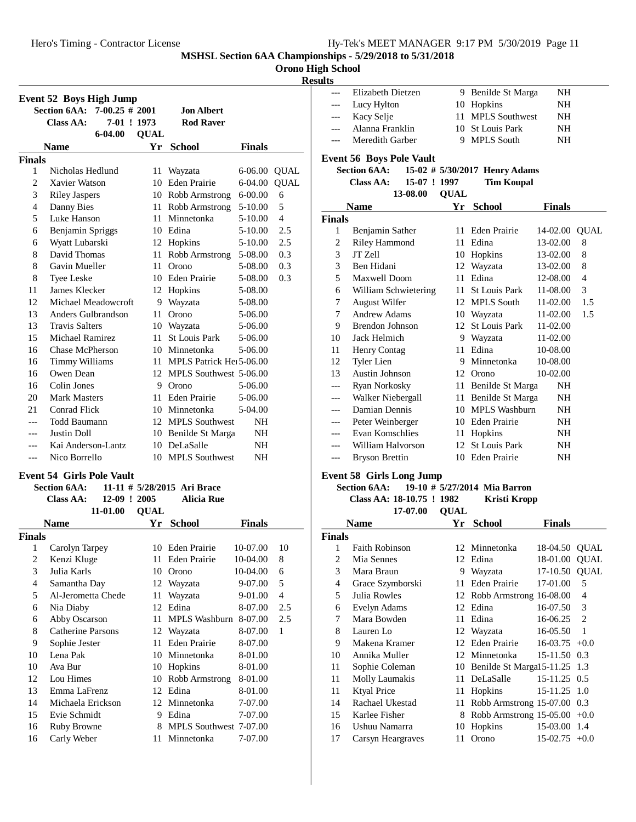**Orono High School**

# **Result**

|                | <b>Event 52 Boys High Jump</b>           |             |                                      |               |                |                |
|----------------|------------------------------------------|-------------|--------------------------------------|---------------|----------------|----------------|
|                | <b>Section 6AA:</b><br>$7-00.25 \# 2001$ |             | <b>Jon Albert</b>                    |               |                |                |
|                | Class AA:<br>7-01 ! 1973                 |             | <b>Rod Raver</b>                     |               |                |                |
|                | $6 - 04.00$                              | <b>OUAL</b> |                                      |               |                |                |
|                | <b>Name</b>                              | Yr          | <b>School</b>                        | <b>Finals</b> |                |                |
| <b>Finals</b>  |                                          |             |                                      |               |                | Event          |
| 1              | Nicholas Hedlund                         | 11          | Wayzata                              | 6-06.00       | <b>QUAL</b>    | Se             |
| $\overline{2}$ | Xavier Watson                            | 10          | <b>Eden Prairie</b>                  | 6-04.00       | <b>QUAL</b>    |                |
| 3              | <b>Riley Jaspers</b>                     |             | 10 Robb Armstrong                    | $6 - 00.00$   | 6              |                |
| 4              | Danny Bies                               |             | 11 Robb Armstrong                    | 5-10.00       | 5              |                |
| 5              | Luke Hanson                              |             | 11 Minnetonka                        | 5-10.00       | $\overline{4}$ | <b>Finals</b>  |
| 6              | Benjamin Spriggs                         |             | 10 Edina                             | 5-10.00       | 2.5            | 1              |
| 6              | Wyatt Lubarski                           | 12          | Hopkins                              | 5-10.00       | 2.5            | $\overline{2}$ |
| 8              | David Thomas                             | 11          | Robb Armstrong                       | 5-08.00       | 0.3            | 3              |
| 8              | Gavin Mueller                            | 11          | Orono                                | 5-08.00       | 0.3            | 3              |
| 8              | Tyee Leske                               |             | 10 Eden Prairie                      | 5-08.00       | 0.3            | 5              |
| 11             | James Klecker                            | 12          | Hopkins                              | 5-08.00       |                | 6              |
| 12             | Michael Meadowcroft                      | 9           | Wayzata                              | 5-08.00       |                | 7              |
| 13             | Anders Gulbrandson                       | 11          | Orono                                | 5-06.00       |                | 7              |
| 13             | <b>Travis Salters</b>                    | 10          | Wayzata                              | 5-06.00       |                | 9              |
| 15             | Michael Ramirez                          | 11          | <b>St Louis Park</b>                 | 5-06.00       |                | 10             |
| 16             | <b>Chase McPherson</b>                   |             | 10 Minnetonka                        | 5-06.00       |                | 11             |
| 16             | Timmy Williams                           | 11          | MPLS Patrick He <sub>1</sub> 5-06.00 |               |                | 12             |
| 16             | Owen Dean                                | 12          | MPLS Southwest 5-06.00               |               |                | 13             |
| 16             | Colin Jones                              | 9           | Orono                                | 5-06.00       |                |                |
| 20             | <b>Mark Masters</b>                      | 11          | Eden Prairie                         | 5-06.00       |                |                |
| 21             | Conrad Flick                             |             | 10 Minnetonka                        | 5-04.00       |                |                |
|                | <b>Todd Baumann</b>                      |             | 12 MPLS Southwest                    | <b>NH</b>     |                |                |
|                | Justin Doll                              |             | 10 Benilde St Marga                  | <b>NH</b>     |                |                |
|                | Kai Anderson-Lantz                       |             | 10 DeLaSalle                         | <b>NH</b>     |                |                |
| $---$          | Nico Borrello                            |             | 10 MPLS Southwest                    | NH            |                |                |

# **Event 54 Girls Pole Vault**

| <b>Section 6AA:</b> |  |  | 11-11 $\# 5/28/2015$ Ari Brace |  |
|---------------------|--|--|--------------------------------|--|
|                     |  |  |                                |  |

#### **Class AA: 12-09 ! 2005 Alicia Rue 11-01.00 OUAL**

|        | 11-01.00           | QUAL |                        |               |     |
|--------|--------------------|------|------------------------|---------------|-----|
|        | <b>Name</b>        | Yr   | <b>School</b>          | <b>Finals</b> |     |
| Finals |                    |      |                        |               |     |
| 1      | Carolyn Tarpey     | 10   | Eden Prairie           | 10-07.00      | 10  |
| 2      | Kenzi Kluge        | 11   | Eden Prairie           | 10-04.00      | 8   |
| 3      | Julia Karls        | 10   | Orono                  | 10-04.00      | 6   |
| 4      | Samantha Day       |      | 12 Wayzata             | 9-07.00       | 5   |
| 5      | Al-Jerometta Chede | 11   | Wayzata                | 9-01.00       | 4   |
| 6      | Nia Diaby          | 12   | Edina                  | 8-07.00       | 2.5 |
| 6      | Abby Oscarson      | 11   | <b>MPLS Washburn</b>   | 8-07.00       | 2.5 |
| 8      | Catherine Parsons  |      | 12 Wayzata             | 8-07.00       | 1   |
| 9      | Sophie Jester      | 11   | <b>Eden Prairie</b>    | 8-07.00       |     |
| 10     | Lena Pak           | 10   | Minnetonka             | 8-01.00       |     |
| 10     | Ava Bur            | 10   | Hopkins                | 8-01.00       |     |
| 12     | Lou Himes          | 10   | Robb Armstrong         | 8-01.00       |     |
| 13     | Emma LaFrenz       | 12   | Edina                  | 8-01.00       |     |
| 14     | Michaela Erickson  |      | 12 Minnetonka          | 7-07.00       |     |
| 15     | Evie Schmidt       | 9    | Edina                  | 7-07.00       |     |
| 16     | Ruby Browne        | 8    | MPLS Southwest 7-07.00 |               |     |
| 16     | Carly Weber        | 11   | Minnetonka             | 7-07.00       |     |
|        |                    |      |                        |               |     |

| ts    |                   |                    |    |  |
|-------|-------------------|--------------------|----|--|
|       | Elizabeth Dietzen | 9 Benilde St Marga | NΗ |  |
| ---   | Lucy Hylton       | 10 Hopkins         | NΗ |  |
| $---$ | Kacy Selje        | 11 MPLS Southwest  | NΗ |  |
|       | Alanna Franklin   | 10 St Louis Park   | NΗ |  |
|       | Meredith Garber   | 9 MPLS South       | NН |  |
|       |                   |                    |    |  |

| <b>Event 56 Boys Pole Vault</b> |                                                                |             |                               |               |                |
|---------------------------------|----------------------------------------------------------------|-------------|-------------------------------|---------------|----------------|
|                                 | <b>Section 6AA:</b>                                            |             | 15-02 # 5/30/2017 Henry Adams |               |                |
|                                 | 15-07 ! 1997<br><b>Class AA:</b>                               |             | <b>Tim Koupal</b>             |               |                |
|                                 | 13-08.00                                                       | <b>OUAL</b> |                               |               |                |
|                                 | Name                                                           |             | Yr School                     | <b>Finals</b> |                |
| Finals                          |                                                                |             |                               |               |                |
| 1                               | Benjamin Sather                                                |             | 11 Eden Prairie               | 14-02.00      | <b>QUAL</b>    |
| 2                               | <b>Riley Hammond</b>                                           | 11          | Edina                         | 13-02.00      | 8              |
| 3                               | JT Zell                                                        |             | 10 Hopkins                    | 13-02.00      | 8              |
| 3                               | Ben Hidani                                                     |             | 12 Wayzata                    | 13-02.00      | 8              |
| 5                               | Maxwell Doom                                                   | 11          | Edina                         | 12-08.00      | $\overline{4}$ |
| 6                               | William Schwietering                                           | 11          | <b>St Louis Park</b>          | 11-08.00      | 3              |
| 7                               | <b>August Wilfer</b>                                           | 12          | <b>MPLS South</b>             | 11-02.00      | 1.5            |
| 7                               | <b>Andrew Adams</b>                                            |             | 10 Wayzata                    | 11-02.00      | 1.5            |
| 9                               | Brendon Johnson                                                | 12          | <b>St Louis Park</b>          | 11-02.00      |                |
| 10                              | Jack Helmich                                                   | 9           | Wayzata                       | 11-02.00      |                |
| 11                              | Henry Contag                                                   | 11          | Edina                         | 10-08.00      |                |
| 12                              | Tyler Lien                                                     | 9           | Minnetonka                    | 10-08.00      |                |
| 13                              | Austin Johnson                                                 |             | 12 Orono                      | 10-02.00      |                |
| ---                             | Ryan Norkosky                                                  |             | 11 Benilde St Marga           | NH            |                |
|                                 | Walker Niebergall                                              |             | 11 Benilde St Marga           | NH            |                |
|                                 | Damian Dennis                                                  |             | 10 MPLS Washburn              | NH            |                |
| ---                             | Peter Weinberger                                               |             | 10 Eden Prairie               | NH            |                |
|                                 | Evan Komschlies                                                | 11          | Hopkins                       | NH            |                |
| ---                             | William Halvorson                                              |             | 12 St Louis Park              | NH            |                |
| $---$                           | <b>Bryson Brettin</b>                                          | 10          | Eden Prairie                  | NH            |                |
|                                 | $E_{\text{cont}}$ $E_{\text{R}}$ $C_{\text{inlet}}$ I ang Iump |             |                               |               |                |

# **Event 58 Girls Long Jump**

# **Section 6AA: 19-10 #**  $\frac{1}{2}$  **5/27/2014** Mia Barron

#### **Class AA: 18-10.75 ! 1982 Kristi Kropp**  $17-07.00$  **OUAL**

|               | 17-07.00              | VUAL |                               |                |                |
|---------------|-----------------------|------|-------------------------------|----------------|----------------|
|               | Name                  | Yr   | <b>School</b>                 | Finals         |                |
| <b>Finals</b> |                       |      |                               |                |                |
| 1             | <b>Faith Robinson</b> |      | 12 Minnetonka                 | 18-04.50       | <b>OUAL</b>    |
| 2             | Mia Sennes            |      | 12 Edina                      | 18-01.00       | <b>OUAL</b>    |
| 3             | Mara Braun            | 9    | Wayzata                       | 17-10.50       | <b>QUAL</b>    |
| 4             | Grace Szymborski      | 11   | Eden Prairie                  | 17-01.00       | 5              |
| 5             | Julia Rowles          | 12   | Robb Armstrong 16-08.00       |                | 4              |
| 6             | Evelyn Adams          | 12   | Edina                         | 16-07.50       | 3              |
| 7             | Mara Bowden           | 11   | Edina                         | 16-06.25       | $\overline{c}$ |
| 8             | Lauren Lo             |      | 12 Wayzata                    | 16-05.50       | $\mathbf{1}$   |
| 9             | Makena Kramer         | 12   | Eden Prairie                  | 16-03.75       | $+0.0$         |
| 10            | Annika Muller         | 12   | Minnetonka                    | 15-11.50       | 0.3            |
| 11            | Sophie Coleman        | 10   | Benilde St Margal 5-11.25 1.3 |                |                |
| 11            | Molly Laumakis        | 11.  | DeLaSalle                     | 15-11.25 0.5   |                |
| 11            | <b>Ktyal Price</b>    | 11   | Hopkins                       | 15-11.25 1.0   |                |
| 14            | Rachael Ukestad       | 11   | Robb Armstrong 15-07.00 0.3   |                |                |
| 15            | Karlee Fisher         | 8    | Robb Armstrong 15-05.00       |                | $+0.0$         |
| 16            | Ushuu Namarra         | 10   | Hopkins                       | 15-03.00       | 1.4            |
| 17            | Carsyn Heargraves     | 11   | Orono                         | $15-02.75+0.0$ |                |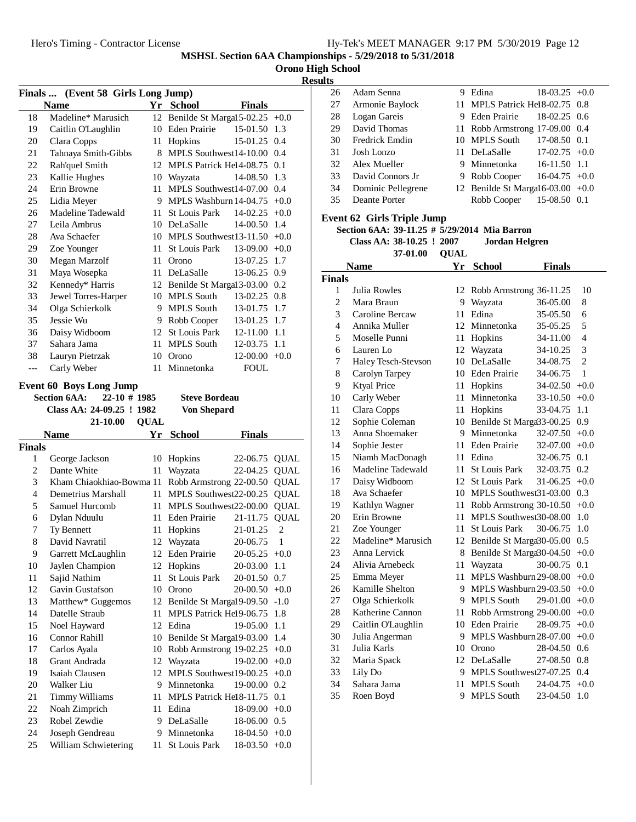|  |  | <b>Orono High School</b> |
|--|--|--------------------------|
|--|--|--------------------------|

# **Results**

|               | Finals  (Event 58 Girls Long Jump)           |             |                                  |                      |                  |
|---------------|----------------------------------------------|-------------|----------------------------------|----------------------|------------------|
|               | <b>Name</b>                                  |             | Yr School                        | <b>Finals</b>        |                  |
| 18            | Madeline* Marusich                           |             | 12 Benilde St Margal 5-02.25     |                      | $+0.0$           |
| 19            | Caitlin O'Laughlin                           |             | 10 Eden Prairie                  | 15-01.50             | 1.3              |
| 20            | Clara Copps                                  | 11          | Hopkins                          | 15-01.25 0.4         |                  |
| 21            | Tahnaya Smith-Gibbs                          |             | 8 MPLS Southwest14-10.00         |                      | 0.4              |
| 22            | Rah'quel Smith                               |             | 12 MPLS Patrick Hel4-08.75       |                      | 0.1              |
| 23            | Kallie Hughes                                |             | 10 Wayzata                       | 14-08.50             | 1.3              |
| 24            | Erin Browne                                  | 11          | MPLS Southwest $14-07.00$ 0.4    |                      |                  |
| 25            | Lidia Meyer                                  |             | 9 MPLS Washburn 14-04.75         |                      | $+0.0$           |
| 26            | Madeline Tadewald                            | 11 -        | <b>St Louis Park</b>             | 14-02.25             | $+0.0$           |
| 27            | Leila Ambrus                                 |             | 10 DeLaSalle                     | 14-00.50             | 1.4              |
| 28            | Ava Schaefer                                 |             | 10 MPLS Southwest13-11.50 $+0.0$ |                      |                  |
| 29            | Zoe Younger                                  | 11          | St Louis Park                    | 13-09.00             | $+0.0$           |
| 30            | Megan Marzolf                                |             | 11 Orono                         | 13-07.25 1.7         |                  |
| 31            | Maya Wosepka                                 |             | 11 DeLaSalle                     | 13-06.25 0.9         |                  |
| 32            | Kennedy* Harris                              |             | 12 Benilde St Margal 3-03.00 0.2 |                      |                  |
| 33            | Jewel Torres-Harper                          |             | 10 MPLS South                    | 13-02.25             | 0.8              |
| 34            | Olga Schierkolk                              |             | 9 MPLS South                     | 13-01.75             | 1.7              |
| 35            | Jessie Wu                                    |             | 9 Robb Cooper                    | 13-01.25 1.7         |                  |
| 36            | Daisy Widboom                                |             | 12 St Louis Park                 | 12-11.00 1.1         |                  |
| 37            | Sahara Jama                                  | 11          | <b>MPLS South</b>                | 12-03.75             | -1.1             |
| 38            | Lauryn Pietrzak                              |             | 10 Orono                         | $12-00.00 + 0.0$     |                  |
| $---$         | Carly Weber                                  | 11          | Minnetonka                       | <b>FOUL</b>          |                  |
|               |                                              |             |                                  |                      |                  |
|               | <b>Event 60 Boys Long Jump</b>               |             |                                  |                      |                  |
|               | <b>Section 6AA:</b><br>$22 - 10$ # 1985      |             | <b>Steve Bordeau</b>             |                      |                  |
|               | Class AA: 24-09.25 ! 1982<br><b>21-10.00</b> | <b>QUAL</b> | <b>Von Shepard</b>               |                      |                  |
|               |                                              |             |                                  |                      |                  |
|               |                                              |             |                                  |                      |                  |
|               | <b>Name</b>                                  | Yr          | <b>School</b>                    | <b>Finals</b>        |                  |
| <b>Finals</b> |                                              |             |                                  |                      |                  |
| 1             | George Jackson                               | 10          | Hopkins                          | 22-06.75 QUAL        |                  |
| 2             | Dante White                                  | 11          | Wayzata                          | 22-04.25             | QUAL             |
| 3             | Kham Chiaokhiao-Bowma 11                     |             | Robb Armstrong 22-00.50          |                      | QUAL             |
| 4             | Demetrius Marshall                           | 11          | MPLS Southwest22-00.25           |                      | <b>QUAL</b>      |
| 5             | Samuel Hurcomb                               | 11          | MPLS Southwest22-00.00           |                      | <b>QUAL</b>      |
| 6             | Dylan Nduulu                                 |             | 11 Eden Prairie                  | 21-11.75             | <b>QUAL</b>      |
| 7             | Ty Bennett                                   | 11          | Hopkins                          | 21-01.25             | $\overline{c}$   |
| 8             | David Navratil                               |             | 12 Wayzata                       | 20-06.75             | $\mathbf{1}$     |
| 9             | Garrett McLaughlin                           |             | 12 Eden Prairie                  | $20-05.25 +0.0$      |                  |
| 10            | Jaylen Champion                              |             | 12 Hopkins                       | 20-03.00             | 1.1              |
| 11            | Sajid Nathim                                 | 11          | <b>St Louis Park</b>             | 20-01.50             | 0.7              |
| 12            | Gavin Gustafson                              |             | 10 Orono                         | 20-00.50             | $+0.0$           |
| 13            | Matthew* Guggemos                            |             | 12 Benilde St Margal9-09.50      |                      | $-1.0$           |
| 14            | Datelle Straub                               | 11          | MPLS Patrick Hel9-06.75          |                      | 1.8              |
| 15            | Noel Hayward                                 |             | 12 Edina                         | 19-05.00             | 1.1              |
| 16            | Connor Rahill                                |             | 10 Benilde St Margal9-03.00      |                      | 1.4              |
| 17            | Carlos Ayala                                 | 10          | Robb Armstrong 19-02.25          |                      | $+0.0$           |
| 18            | Grant Andrada                                | 12          | Wayzata                          | 19-02.00             | $+0.0$           |
| 19            | Isaiah Clausen                               |             | 12 MPLS Southwest19-00.25        |                      | $+0.0$           |
| 20            | Walker Liu                                   |             | 9 Minnetonka                     | 19-00.00             | 0.2              |
| 21            | <b>Timmy Williams</b>                        | 11          | MPLS Patrick Hel 8-11.75         |                      | 0.1              |
| 22            | Noah Zimprich                                | 11          | Edina                            | 18-09.00             | $+0.0$           |
| 23            | Robel Zewdie                                 | 9.          | DeLaSalle                        | 18-06.00             | 0.5              |
| 24<br>25      | Joseph Gendreau<br>William Schwietering      | 9.<br>11    | Minnetonka<br>St Louis Park      | 18-04.50<br>18-03.50 | $+0.0$<br>$+0.0$ |

| LS |                    |   |                                     |                 |  |
|----|--------------------|---|-------------------------------------|-----------------|--|
| 26 | Adam Senna         | 9 | Edina                               | $18-03.25 +0.0$ |  |
| 27 | Armonie Baylock    |   | 11 MPLS Patrick He18-02.75 0.8      |                 |  |
| 28 | Logan Gareis       |   | 9 Eden Prairie                      | $18-02.25$ 0.6  |  |
| 29 | David Thomas       |   | 11 Robb Armstrong 17-09.00 0.4      |                 |  |
| 30 | Fredrick Emdin     |   | 10 MPLS South                       | 17-08.50 0.1    |  |
| 31 | Josh Lonzo         |   | 11 DeLaSalle                        | $17-02.75 +0.0$ |  |
| 32 | Alex Mueller       |   | 9 Minnetonka                        | 16-11.50 1.1    |  |
| 33 | David Connors Jr   |   | 9 Robb Cooper                       | $16-04.75$ +0.0 |  |
| 34 | Dominic Pellegrene |   | 12 Benilde St Margal 6-03.00 $+0.0$ |                 |  |
| 35 | Deante Porter      |   | Robb Cooper                         | 15-08.50 0.1    |  |
|    |                    |   |                                     |                 |  |

## **Event 62 Girls Triple Jump**

**Section 6AA: 39-11.25 #**  $\frac{1}{5}$ **/29/2014** Mia Barron

```
Class AA: 38-10.25 ! 2007 Jordan Helgren
```
**QUAL37-01.00**

|             | $J-U1.00$ $UUAL$ |           |               |
|-------------|------------------|-----------|---------------|
| <b>Name</b> |                  | Yr School | <b>Finals</b> |
| ls          |                  |           |               |

| <b>Finals</b>  |                     |    |                           |          |                |
|----------------|---------------------|----|---------------------------|----------|----------------|
| 1              | Julia Rowles        | 12 | Robb Armstrong 36-11.25   |          | 10             |
| 2              | Mara Braun          | 9  | Wayzata                   | 36-05.00 | 8              |
| 3              | Caroline Bercaw     | 11 | Edina                     | 35-05.50 | 6              |
| $\overline{4}$ | Annika Muller       | 12 | Minnetonka                | 35-05.25 | 5              |
| 5              | Moselle Punni       | 11 | Hopkins                   | 34-11.00 | 4              |
| 6              | Lauren Lo           | 12 | Wayzata                   | 34-10.25 | 3              |
| 7              | Haley Tesch-Stevson | 10 | DeLaSalle                 | 34-08.75 | $\overline{2}$ |
| 8              | Carolyn Tarpey      | 10 | Eden Prairie              | 34-06.75 | 1              |
| 9              | <b>Ktyal Price</b>  | 11 | Hopkins                   | 34-02.50 | $+0.0$         |
| 10             | Carly Weber         | 11 | Minnetonka                | 33-10.50 | $+0.0$         |
| 11             | Clara Copps         | 11 | Hopkins                   | 33-04.75 | 1.1            |
| 12             | Sophie Coleman      | 10 | Benilde St Marga 3-00.25  |          | 0.9            |
| 13             | Anna Shoemaker      | 9  | Minnetonka                | 32-07.50 | $+0.0$         |
| 14             | Sophie Jester       | 11 | <b>Eden Prairie</b>       | 32-07.00 | $+0.0$         |
| 15             | Niamh MacDonagh     | 11 | Edina                     | 32-06.75 | 0.1            |
| 16             | Madeline Tadewald   | 11 | <b>St Louis Park</b>      | 32-03.75 | 0.2            |
| 17             | Daisy Widboom       | 12 | <b>St Louis Park</b>      | 31-06.25 | $+0.0$         |
| 18             | Ava Schaefer        | 10 | MPLS Southwest 31-03.00   |          | 0.3            |
| 19             | Kathlyn Wagner      | 11 | Robb Armstrong 30-10.50   |          | $+0.0$         |
| 20             | Erin Browne         | 11 | MPLS Southwest30-08.00    |          | 1.0            |
| 21             | Zoe Younger         | 11 | <b>St Louis Park</b>      | 30-06.75 | 1.0            |
| 22             | Madeline* Marusich  | 12 | Benilde St Marga30-05.00  |          | 0.5            |
| 23             | Anna Lervick        | 8  | Benilde St Marga 30-04.50 |          | $+0.0$         |
| 24             | Alivia Arnebeck     | 11 | Wayzata                   | 30-00.75 | 0.1            |
| 25             | Emma Meyer          | 11 | MPLS Washburn 29-08.00    |          | $+0.0$         |
| 26             | Kamille Shelton     | 9  | MPLS Washburn 29-03.50    |          | $+0.0$         |
| 27             | Olga Schierkolk     | 9  | <b>MPLS South</b>         | 29-01.00 | $+0.0$         |
| 28             | Katherine Cannon    | 11 | Robb Armstrong 29-00.00   |          | $+0.0$         |
| 29             | Caitlin O'Laughlin  | 10 | <b>Eden Prairie</b>       | 28-09.75 | $+0.0$         |
| 30             | Julia Angerman      | 9  | MPLS Washburn 28-07.00    |          | $+0.0$         |
| 31             | Julia Karls         | 10 | Orono                     | 28-04.50 | 0.6            |
| 32             | Maria Spack         | 12 | DeLaSalle                 | 27-08.50 | 0.8            |
| 33             | Lily Do             | 9  | MPLS Southwest27-07.25    |          | 0.4            |
| 34             | Sahara Jama         | 11 | <b>MPLS South</b>         | 24-04.75 | $+0.0$         |
| 35             | Roen Boyd           | 9  | <b>MPLS South</b>         | 23-04.50 | 1.0            |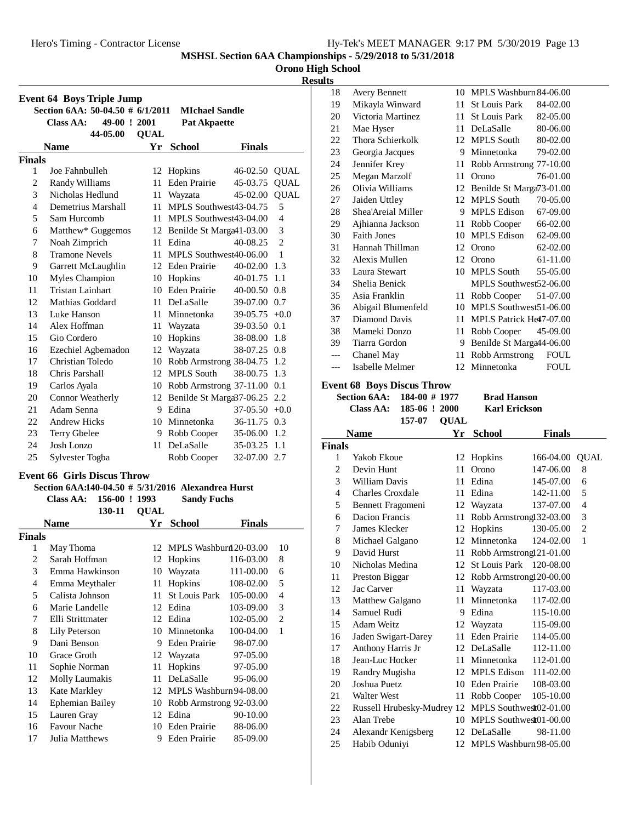|  |  | <b>Orono High School</b> |
|--|--|--------------------------|
|--|--|--------------------------|

# **Results**

| <b>Event 64 Boys Triple Jump</b> |                                  |             |                           |               |                |  |
|----------------------------------|----------------------------------|-------------|---------------------------|---------------|----------------|--|
|                                  | Section 6AA: 50-04.50 # 6/1/2011 |             | <b>MIchael Sandle</b>     |               |                |  |
|                                  | 49-00 ! 2001<br>Class AA:        |             | <b>Pat Akpaette</b>       |               |                |  |
|                                  | 44-05.00                         | <b>OUAL</b> |                           |               |                |  |
|                                  | <b>Name</b>                      | Yr          | <b>School</b>             | <b>Finals</b> |                |  |
| <b>Finals</b>                    |                                  |             |                           |               |                |  |
| 1                                | Joe Fahnbulleh                   | 12          | Hopkins                   | 46-02.50      | <b>QUAL</b>    |  |
| $\overline{2}$                   | Randy Williams                   | 11          | <b>Eden Prairie</b>       | 45-03.75      | <b>QUAL</b>    |  |
| 3                                | Nicholas Hedlund                 | 11          | Wayzata                   | 45-02.00      | <b>QUAL</b>    |  |
| $\overline{4}$                   | Demetrius Marshall               | 11          | MPLS Southwest43-04.75    |               | 5              |  |
| 5                                | Sam Hurcomb                      | 11          | MPLS Southwest43-04.00    |               | $\overline{4}$ |  |
| 6                                | Matthew* Guggemos                | 12          | Benilde St Marga 41-03.00 |               | 3              |  |
| 7                                | Noah Zimprich                    | 11          | Edina                     | 40-08.25      | $\overline{c}$ |  |
| 8                                | <b>Tramone Nevels</b>            | 11          | MPLS Southwest40-06.00    |               | 1              |  |
| 9                                | Garrett McLaughlin               | 12          | <b>Eden Prairie</b>       | 40-02.00      | 1.3            |  |
| 10                               | Myles Champion                   | 10          | Hopkins                   | 40-01.75      | 1.1            |  |
| 11                               | <b>Tristan Lainhart</b>          | 10          | <b>Eden Prairie</b>       | 40-00.50      | 0.8            |  |
| 12                               | Mathias Goddard                  | 11          | DeLaSalle                 | 39-07.00      | 0.7            |  |
| 13                               | Luke Hanson                      | 11          | Minnetonka                | 39-05.75      | $+0.0$         |  |
| 14                               | Alex Hoffman                     | 11          | Wayzata                   | 39-03.50      | 0.1            |  |
| 15                               | Gio Cordero                      | 10          | Hopkins                   | 38-08.00      | 1.8            |  |
| 16                               | Ezechiel Agbemadon               | 12          | Wayzata                   | 38-07.25      | 0.8            |  |
| 17                               | Christian Toledo                 | 10          | Robb Armstrong 38-04.75   |               | 1.2            |  |
| 18                               | Chris Parshall                   | 12          | <b>MPLS South</b>         | 38-00.75      | 1.3            |  |
| 19                               | Carlos Ayala                     | 10          | Robb Armstrong 37-11.00   |               | 0.1            |  |
| 20                               | Connor Weatherly                 | 12          | Benilde St Marga 37-06.25 |               | 2.2            |  |
| 21                               | Adam Senna                       | 9           | Edina                     | 37-05.50      | $+0.0$         |  |
| 22                               | <b>Andrew Hicks</b>              | 10          | Minnetonka                | 36-11.75      | 0.3            |  |
| 23                               | Terry Gbelee                     | 9           | Robb Cooper               | 35-06.00      | 1.2            |  |
| 24                               | Josh Lonzo                       | 11          | DeLaSalle                 | 35-03.25      | 1.1            |  |
| 25                               | Sylvester Togba                  |             | Robb Cooper               | 32-07.00      | 2.7            |  |

# **Event 66 Girls Discus Throw**

# **Section 6AA:140-04.50** # 5/31/2016 Alexandrea Hurst

**Class AA: 156-00 ! 1993** Sandy Fuchs

|                | 130-11           | <b>OUAL</b> |                         |               |    |
|----------------|------------------|-------------|-------------------------|---------------|----|
|                | Name             | Yr          | <b>School</b>           | <b>Finals</b> |    |
| Finals         |                  |             |                         |               |    |
| 1              | May Thoma        | 12          | MPLS Washburn 20-03.00  |               | 10 |
| $\overline{c}$ | Sarah Hoffman    | 12          | Hopkins                 | 116-03.00     | 8  |
| 3              | Emma Hawkinson   | 10          | Wayzata                 | 111-00.00     | 6  |
| 4              | Emma Meythaler   | 11          | Hopkins                 | 108-02.00     | 5  |
| 5              | Calista Johnson  | 11          | <b>St Louis Park</b>    | 105-00.00     | 4  |
| 6              | Marie Landelle   | 12          | Edina                   | 103-09.00     | 3  |
| 7              | Elli Strittmater | 12          | Edina                   | 102-05.00     | 2  |
| 8              | Lily Peterson    | 10          | Minnetonka              | 100-04.00     | 1  |
| 9              | Dani Benson      | 9           | Eden Prairie            | 98-07.00      |    |
| 10             | Grace Groth      | 12          | Wayzata                 | 97-05.00      |    |
| 11             | Sophie Norman    | 11          | Hopkins                 | 97-05.00      |    |
| 12             | Molly Laumakis   | 11          | DeLaSalle               | 95-06.00      |    |
| 13             | Kate Markley     | 12          | MPLS Washburn 94-08.00  |               |    |
| 14             | Ephemian Bailey  | 10          | Robb Armstrong 92-03.00 |               |    |
| 15             | Lauren Gray      | 12          | Edina                   | 90-10.00      |    |
| 16             | Favour Nache     | 10          | Eden Prairie            | 88-06.00      |    |
| 17             | Julia Matthews   | 9           | Eden Prairie            | 85-09.00      |    |

| 18  | <b>Avery Bennett</b> |    | 10 MPLS Washburn 84-06.00 |             |
|-----|----------------------|----|---------------------------|-------------|
| 19  | Mikayla Winward      | 11 | St Louis Park             | 84-02.00    |
| 20  | Victoria Martinez    | 11 | St Louis Park             | 82-05.00    |
| 21  | Mae Hyser            | 11 | DeLaSalle                 | 80-06.00    |
| 22  | Thora Schierkolk     | 12 | <b>MPLS South</b>         | 80-02.00    |
| 23  | Georgia Jacques      | 9  | Minnetonka                | 79-02.00    |
| 24  | Jennifer Krey        | 11 | Robb Armstrong 77-10.00   |             |
| 25  | Megan Marzolf        | 11 | Orono                     | 76-01.00    |
| 26  | Olivia Williams      | 12 | Benilde St Marga73-01.00  |             |
| 27  | Jaiden Uttley        | 12 | <b>MPLS South</b>         | 70-05.00    |
| 28  | Shea'Areial Miller   | 9  | MPLS Edison               | 67-09.00    |
| 29  | Ajhianna Jackson     | 11 | Robb Cooper               | 66-02.00    |
| 30  | <b>Faith Jones</b>   | 10 | <b>MPLS Edison</b>        | 62-09.00    |
| 31  | Hannah Thillman      | 12 | Orono                     | 62-02.00    |
| 32  | Alexis Mullen        | 12 | Orono                     | 61-11.00    |
| 33  | Laura Stewart        | 10 | <b>MPLS South</b>         | 55-05.00    |
| 34  | Shelia Benick        |    | MPLS Southwest52-06.00    |             |
| 35  | Asia Franklin        | 11 | Robb Cooper               | 51-07.00    |
| 36  | Abigail Blumenfeld   | 10 | MPLS Southwest 51-06.00   |             |
| 37  | Diamond Davis        | 11 | MPLS Patrick He47-07.00   |             |
| 38  | Mameki Donzo         | 11 | Robb Cooper               | 45-09.00    |
| 39  | Tiarra Gordon        | 9  | Benilde St Marga44-06.00  |             |
| --- | Chanel May           | 11 | Robb Armstrong            | <b>FOUL</b> |
| --- | Isabelle Melmer      | 12 | Minnetonka                | <b>FOUL</b> |

# **Event 68 Boys Discus Throw**

| Section $6AA: 184-00 \# 1977$ | <b>Brad Hanson</b>   |
|-------------------------------|----------------------|
| Class AA: $185-06$ ! 2000     | <b>Karl Erickson</b> |
| 157-07 OUAL                   |                      |

|                | <b>Name</b>                | Υr | School                   | Finals    |      |
|----------------|----------------------------|----|--------------------------|-----------|------|
| <b>Finals</b>  |                            |    |                          |           |      |
| 1              | Yakob Ekoue                | 12 | Hopkins                  | 166-04.00 | QUAL |
| 2              | Devin Hunt                 | 11 | Orono                    | 147-06.00 | 8    |
| 3              | <b>William Davis</b>       | 11 | Edina                    | 145-07.00 | 6    |
| $\overline{4}$ | Charles Croxdale           | 11 | Edina                    | 142-11.00 | 5    |
| 5              | Bennett Fragomeni          |    | 12 Wayzata               | 137-07.00 | 4    |
| 6              | Dacion Francis             | 11 | Robb Armstrong132-03.00  |           | 3    |
| 7              | James Klecker              | 12 | Hopkins                  | 130-05.00 | 2    |
| 8              | Michael Galgano            | 12 | Minnetonka               | 124-02.00 | 1    |
| 9              | David Hurst                | 11 | Robb Armstrong 21-01.00  |           |      |
| 10             | Nicholas Medina            | 12 | St Louis Park 120-08.00  |           |      |
| 11             | Preston Biggar             | 12 | Robb Armstrongl 20-00.00 |           |      |
| 12             | Jac Carver                 | 11 | Wayzata                  | 117-03.00 |      |
| 13             | <b>Matthew Galgano</b>     | 11 | Minnetonka               | 117-02.00 |      |
| 14             | Samuel Rudi                | 9  | Edina                    | 115-10.00 |      |
| 15             | Adam Weitz                 | 12 | Wayzata                  | 115-09.00 |      |
| 16             | Jaden Swigart-Darey        | 11 | <b>Eden Prairie</b>      | 114-05.00 |      |
| 17             | Anthony Harris Jr          |    | 12 DeLaSalle             | 112-11.00 |      |
| 18             | Jean-Luc Hocker            | 11 | Minnetonka               | 112-01.00 |      |
| 19             | Randry Mugisha             |    | 12 MPLS Edison           | 111-02.00 |      |
| 20             | Joshua Puetz               | 10 | Eden Prairie             | 108-03.00 |      |
| 21             | Walter West                | 11 | Robb Cooper              | 105-10.00 |      |
| 22             | Russell Hrubesky-Mudrey 12 |    | MPLS Southwest02-01.00   |           |      |
| 23             | Alan Trebe                 | 10 | MPLS Southwest01-00.00   |           |      |
| 24             | Alexandr Kenigsberg        | 12 | DeLaSalle                | 98-11.00  |      |
| 25             | Habib Oduniyi              | 12 | MPLS Washburn 98-05.00   |           |      |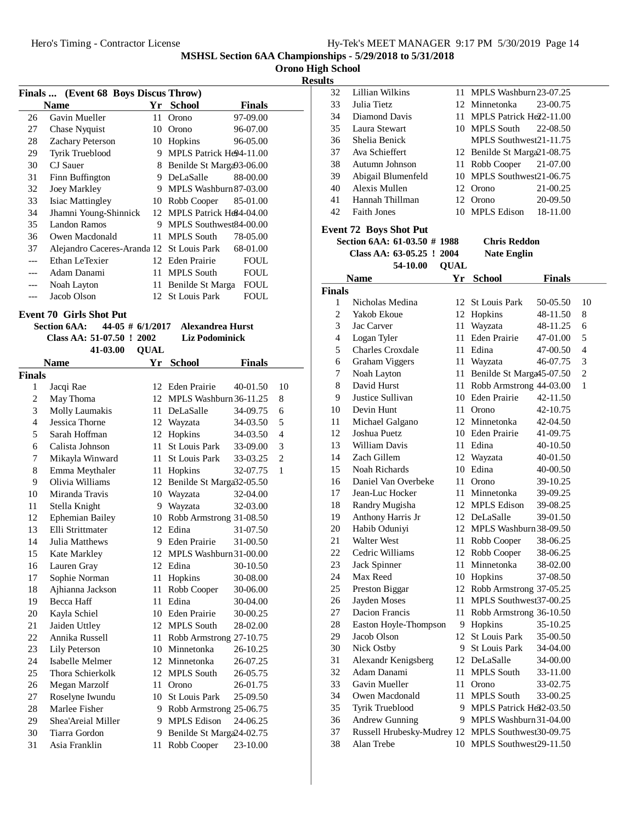**Orono High School**

**Results**

| Finals  (Event 68 Boys Discus Throw) |                                           |                     |                              |               |                |
|--------------------------------------|-------------------------------------------|---------------------|------------------------------|---------------|----------------|
|                                      | <b>Name</b>                               |                     | Yr School                    | <b>Finals</b> |                |
| 26                                   | Gavin Mueller                             | 11                  | Orono                        | 97-09.00      |                |
| 27                                   | Chase Nyquist                             | 10                  | Orono                        | 96-07.00      |                |
| 28                                   | Zachary Peterson                          |                     | 10 Hopkins                   | 96-05.00      |                |
| 29                                   | Tyrik Trueblood                           | 9.                  | MPLS Patrick He94-11.00      |               |                |
| 30                                   | <b>CJ</b> Sauer                           | 8                   | Benilde St Marga93-06.00     |               |                |
| 31                                   | Finn Buffington                           |                     | 9 DeLaSalle                  | 88-00.00      |                |
| 32                                   | Joey Markley                              |                     | 9 MPLS Washburn 87-03.00     |               |                |
| 33                                   | <b>Isiac Mattingley</b>                   |                     | 10 Robb Cooper               | 85-01.00      |                |
| 34                                   | Jhamni Young-Shinnick                     |                     | 12 MPLS Patrick He84-04.00   |               |                |
| 35                                   | Landon Ramos                              |                     | 9 MPLS Southwest84-00.00     |               |                |
| 36                                   | Owen Macdonald                            |                     | 11 MPLS South                | 78-05.00      |                |
| 37                                   | Alejandro Caceres-Aranda 12 St Louis Park |                     |                              | 68-01.00      |                |
| ---                                  | Ethan LeTexier                            |                     | 12 Eden Prairie              | FOUL          |                |
| $---$                                | Adam Danami                               | 11                  | <b>MPLS South</b>            | <b>FOUL</b>   |                |
| ---                                  | Noah Layton                               | 11                  | Benilde St Marga             | <b>FOUL</b>   |                |
| ---                                  | Jacob Olson                               |                     | 12 St Louis Park             | <b>FOUL</b>   |                |
|                                      |                                           |                     |                              |               |                |
|                                      | <b>Event 70 Girls Shot Put</b>            |                     |                              |               |                |
|                                      | <b>Section 6AA:</b>                       | $44-05 \# 6/1/2017$ | <b>Alexandrea Hurst</b>      |               |                |
|                                      | Class AA: 51-07.50 ! 2002                 |                     | <b>Liz Podominick</b>        |               |                |
|                                      | 41-03.00                                  | <b>QUAL</b>         |                              |               |                |
|                                      | <b>Name</b>                               | Yr                  | <b>School</b>                | Finals        |                |
| <b>Finals</b>                        |                                           |                     |                              |               |                |
| 1                                    | Jacqi Rae                                 |                     | 12 Eden Prairie              | 40-01.50      | 10             |
| 2                                    | May Thoma                                 |                     | 12 MPLS Washburn 36-11.25    |               | 8              |
| 3                                    | Molly Laumakis                            |                     | 11 DeLaSalle                 | 34-09.75      | 6              |
| 4                                    | Jessica Thorne                            |                     | 12 Wayzata                   | 34-03.50      | 5              |
| 5                                    | Sarah Hoffman                             |                     | 12 Hopkins                   | 34-03.50      | 4              |
| 6                                    | Calista Johnson                           | 11                  | <b>St Louis Park</b>         | 33-09.00      | 3              |
| 7                                    | Mikayla Winward                           | 11                  | <b>St Louis Park</b>         | 33-03.25      | $\overline{2}$ |
| 8                                    | Emma Meythaler                            | 11 -                | Hopkins                      | 32-07.75      | 1              |
| 9                                    | Olivia Williams                           |                     | 12 Benilde St Marga 32-05.50 |               |                |
| 10                                   | Miranda Travis                            |                     | 10 Wayzata                   | 32-04.00      |                |
| 11                                   | Stella Knight                             |                     | 9 Wayzata                    | 32-03.00      |                |
| 12                                   | <b>Ephemian Bailey</b>                    |                     | 10 Robb Armstrong 31-08.50   |               |                |
| 13                                   | Elli Strittmater                          |                     | 12 Edina                     | 31-07.50      |                |
| 14                                   | Julia Matthews                            |                     | 9 Eden Prairie               | 31-00.50      |                |
| 15                                   | Kate Markley                              |                     | 12 MPLS Washburn 31-00.00    |               |                |
| 16                                   | Lauren Gray                               |                     | 12 Edina                     | 30-10.50      |                |
| 17                                   | Sophie Norman                             | 11                  | Hopkins                      | 30-08.00      |                |
| 18                                   | Ajhianna Jackson                          | 11                  | Robb Cooper                  | 30-06.00      |                |
| 19                                   | Becca Haff                                | 11                  | Edina                        | 30-04.00      |                |
| $20\,$                               | Kayla Schiel                              |                     | 10 Eden Prairie              | 30-00.25      |                |
| 21                                   | Jaiden Uttley                             | 12                  | <b>MPLS</b> South            | 28-02.00      |                |
| 22                                   | Annika Russell                            | 11                  | Robb Armstrong 27-10.75      |               |                |
| 23                                   | Lily Peterson                             |                     | 10 Minnetonka                | 26-10.25      |                |
| 24                                   | Isabelle Melmer                           |                     | 12 Minnetonka                | 26-07.25      |                |
| 25                                   | Thora Schierkolk                          |                     | 12 MPLS South                | 26-05.75      |                |
| 26                                   | Megan Marzolf                             | 11                  | Orono                        | 26-01.75      |                |
| 27                                   | Roselyne Iwundu                           | 10                  | St Louis Park                | 25-09.50      |                |
| 28                                   | Marlee Fisher                             | 9.                  | Robb Armstrong 25-06.75      |               |                |
| 29                                   | Shea'Areial Miller                        | 9.                  | <b>MPLS Edison</b>           | 24-06.25      |                |
| 30                                   | Tiarra Gordon                             | 9.                  | Benilde St Marga24-02.75     |               |                |

31 Asia Franklin 11 Robb Cooper 23-10.00

32 Lillian Wilkins 11 MPLS Washburn 23-07.25 33 Julia Tietz 12 Minnetonka 23-00.75 34 Diamond Davis 11 MPLS Patrick Help2-11.00 35 Laura Stewart 10 MPLS South 22-08.50 36 Shelia Benick<br>MPLS Southwest21-11.75 37 Ava Schieffert 12 Benilde St Marga 21-08.75 38 Autumn Johnson 11 Robb Cooper 21-07.00 39 Abigail Blumenfeld 10 MPLS Southwest 21-06.75 40 Alexis Mullen 12 Orono 21-00.25 41 Hannah Thillman 12 Orono 20-09.50 42 Faith Jones 10 MPLS Edison 18-11.00 **Event 72 Boys Shot Put Section 6AA: 61-03.50 # 1988** Chris Reddon **Class AA: 63-05.25 ! 2004** Nate Englin 54-10.00 OUAL **Name Yr School Finals Finals** Nicholas Medina 12 St Louis Park 50-05.50 10 2 Yakob Ekoue 12 Hopkins 48-11.50 8 3 Jac Carver 11 Wayzata 48-11.25 6 4 Logan Tyler 11 Eden Prairie 47-01.00 5 5 Charles Croxdale 11 Edina 47-00.50 4 6 Graham Viggers 11 Wayzata 46-07.75 3 7 Noah Layton 11 Benilde St Marga 45-07.50 2 8 David Hurst 11 Robb Armstrong 44-03.00 1 9 Justice Sullivan 10 Eden Prairie 42-11.50 10 Devin Hunt 11 Orono 42-10.75 11 Michael Galgano 12 Minnetonka 42-04.50 12 Joshua Puetz 10 Eden Prairie 41-09.75 13 William Davis 11 Edina 40-10.50 14 Zach Gillem 12 Wayzata 40-01.50 15 Noah Richards 10 Edina 40-00.50 16 Daniel Van Overbeke 11 Orono 39-10.25 17 Jean-Luc Hocker 11 Minnetonka 39-09.25 18 Randry Mugisha 12 MPLS Edison 39-08.25 19 Anthony Harris Jr<sup>12</sup> DeLaSalle 39-01.50 20 Habib Oduniyi 12 MPLS Washburn 38-09.50 21 Walter West 11 Robb Cooper 38-06.25 22 Cedric Williams 12 Robb Cooper 38-06.25 23 Jack Spinner<br>23 Jack Spinner<br>21 Minnetonka 38-02.00 24 Max Reed 10 Hopkins 37-08.50 25 Preston Biggar 12 Robb Armstrong 37-05.25 26 Jayden Moses 11 MPLS Southwest 37-00.25 27 Dacion Francis 11 Robb Armstrong 36-10.50 28 Easton Hoyle-Thompson 9 Hopkins 35-10.25 29 Jacob Olson 12 St Louis Park 35-00.50 30 Nick Ostby 9 St Louis Park 34-04.00 31 Alexandr Kenigsberg 12 DeLaSalle 34-00.00 32 Adam Danami 11 MPLS South 33-11.00 33 Gavin Mueller 11 Orono 33-02.75 34 Owen Macdonald 11 MPLS South 33-00.25 35 Tyrik Trueblood 9 MPLS Patrick He32-03.50 36 Andrew Gunning 9 MPLS Washburn 31-04.00 37 Russell Hrubesky-Mudrey 12 MPLS Southwest 30-09.75

38 Alan Trebe 10 MPLS Southwest 29-11.50